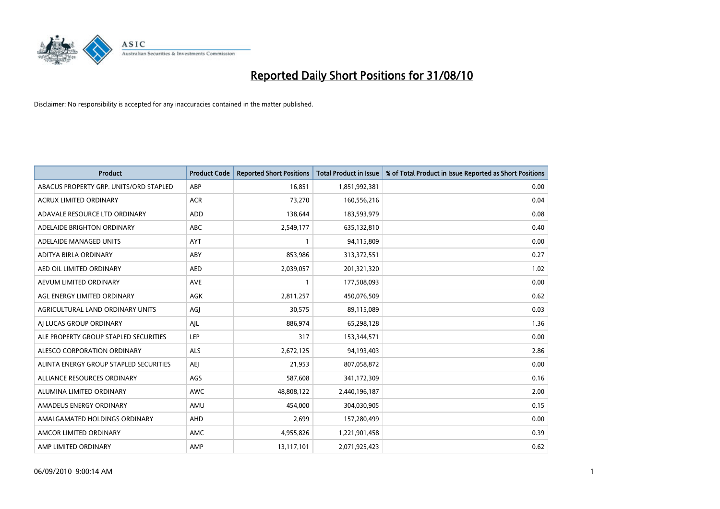

| <b>Product</b>                         | <b>Product Code</b> | <b>Reported Short Positions</b> | <b>Total Product in Issue</b> | % of Total Product in Issue Reported as Short Positions |
|----------------------------------------|---------------------|---------------------------------|-------------------------------|---------------------------------------------------------|
| ABACUS PROPERTY GRP. UNITS/ORD STAPLED | ABP                 | 16,851                          | 1,851,992,381                 | 0.00                                                    |
| <b>ACRUX LIMITED ORDINARY</b>          | <b>ACR</b>          | 73,270                          | 160,556,216                   | 0.04                                                    |
| ADAVALE RESOURCE LTD ORDINARY          | ADD                 | 138,644                         | 183,593,979                   | 0.08                                                    |
| ADELAIDE BRIGHTON ORDINARY             | <b>ABC</b>          | 2,549,177                       | 635,132,810                   | 0.40                                                    |
| ADELAIDE MANAGED UNITS                 | <b>AYT</b>          |                                 | 94,115,809                    | 0.00                                                    |
| ADITYA BIRLA ORDINARY                  | ABY                 | 853,986                         | 313,372,551                   | 0.27                                                    |
| AED OIL LIMITED ORDINARY               | <b>AED</b>          | 2,039,057                       | 201,321,320                   | 1.02                                                    |
| AEVUM LIMITED ORDINARY                 | <b>AVE</b>          |                                 | 177,508,093                   | 0.00                                                    |
| AGL ENERGY LIMITED ORDINARY            | <b>AGK</b>          | 2,811,257                       | 450,076,509                   | 0.62                                                    |
| AGRICULTURAL LAND ORDINARY UNITS       | AGI                 | 30,575                          | 89,115,089                    | 0.03                                                    |
| AI LUCAS GROUP ORDINARY                | AJL                 | 886,974                         | 65,298,128                    | 1.36                                                    |
| ALE PROPERTY GROUP STAPLED SECURITIES  | <b>LEP</b>          | 317                             | 153,344,571                   | 0.00                                                    |
| ALESCO CORPORATION ORDINARY            | <b>ALS</b>          | 2,672,125                       | 94,193,403                    | 2.86                                                    |
| ALINTA ENERGY GROUP STAPLED SECURITIES | <b>AEI</b>          | 21,953                          | 807,058,872                   | 0.00                                                    |
| ALLIANCE RESOURCES ORDINARY            | AGS                 | 587,608                         | 341,172,309                   | 0.16                                                    |
| ALUMINA LIMITED ORDINARY               | <b>AWC</b>          | 48,808,122                      | 2,440,196,187                 | 2.00                                                    |
| AMADEUS ENERGY ORDINARY                | AMU                 | 454,000                         | 304,030,905                   | 0.15                                                    |
| AMALGAMATED HOLDINGS ORDINARY          | AHD                 | 2,699                           | 157,280,499                   | 0.00                                                    |
| AMCOR LIMITED ORDINARY                 | AMC                 | 4,955,826                       | 1,221,901,458                 | 0.39                                                    |
| AMP LIMITED ORDINARY                   | AMP                 | 13,117,101                      | 2,071,925,423                 | 0.62                                                    |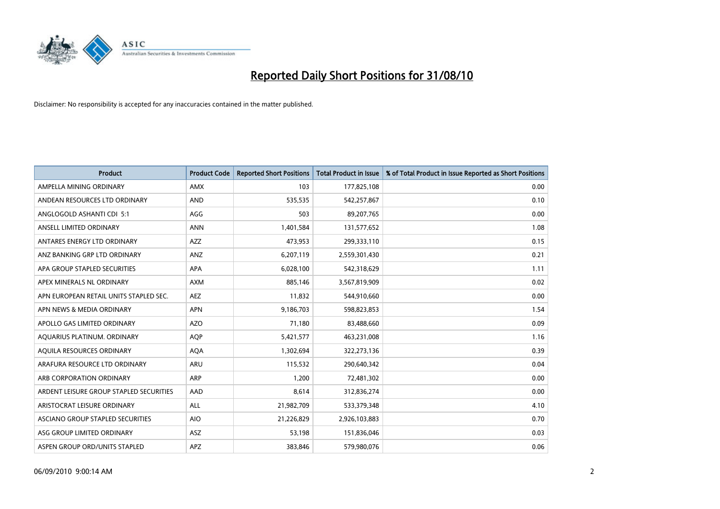

| <b>Product</b>                          | <b>Product Code</b> | <b>Reported Short Positions</b> | Total Product in Issue | % of Total Product in Issue Reported as Short Positions |
|-----------------------------------------|---------------------|---------------------------------|------------------------|---------------------------------------------------------|
| AMPELLA MINING ORDINARY                 | <b>AMX</b>          | 103                             | 177,825,108            | 0.00                                                    |
| ANDEAN RESOURCES LTD ORDINARY           | <b>AND</b>          | 535,535                         | 542,257,867            | 0.10                                                    |
| ANGLOGOLD ASHANTI CDI 5:1               | AGG                 | 503                             | 89,207,765             | 0.00                                                    |
| ANSELL LIMITED ORDINARY                 | <b>ANN</b>          | 1,401,584                       | 131,577,652            | 1.08                                                    |
| ANTARES ENERGY LTD ORDINARY             | AZZ                 | 473,953                         | 299,333,110            | 0.15                                                    |
| ANZ BANKING GRP LTD ORDINARY            | ANZ                 | 6,207,119                       | 2,559,301,430          | 0.21                                                    |
| APA GROUP STAPLED SECURITIES            | <b>APA</b>          | 6,028,100                       | 542,318,629            | 1.11                                                    |
| APEX MINERALS NL ORDINARY               | <b>AXM</b>          | 885,146                         | 3,567,819,909          | 0.02                                                    |
| APN EUROPEAN RETAIL UNITS STAPLED SEC.  | <b>AEZ</b>          | 11,832                          | 544,910,660            | 0.00                                                    |
| APN NEWS & MEDIA ORDINARY               | <b>APN</b>          | 9,186,703                       | 598,823,853            | 1.54                                                    |
| APOLLO GAS LIMITED ORDINARY             | <b>AZO</b>          | 71,180                          | 83,488,660             | 0.09                                                    |
| AQUARIUS PLATINUM. ORDINARY             | <b>AOP</b>          | 5,421,577                       | 463,231,008            | 1.16                                                    |
| AQUILA RESOURCES ORDINARY               | <b>AQA</b>          | 1,302,694                       | 322,273,136            | 0.39                                                    |
| ARAFURA RESOURCE LTD ORDINARY           | ARU                 | 115,532                         | 290,640,342            | 0.04                                                    |
| ARB CORPORATION ORDINARY                | <b>ARP</b>          | 1,200                           | 72,481,302             | 0.00                                                    |
| ARDENT LEISURE GROUP STAPLED SECURITIES | AAD                 | 8,614                           | 312,836,274            | 0.00                                                    |
| ARISTOCRAT LEISURE ORDINARY             | ALL                 | 21,982,709                      | 533,379,348            | 4.10                                                    |
| ASCIANO GROUP STAPLED SECURITIES        | <b>AIO</b>          | 21,226,829                      | 2,926,103,883          | 0.70                                                    |
| ASG GROUP LIMITED ORDINARY              | ASZ                 | 53,198                          | 151,836,046            | 0.03                                                    |
| ASPEN GROUP ORD/UNITS STAPLED           | APZ                 | 383,846                         | 579,980,076            | 0.06                                                    |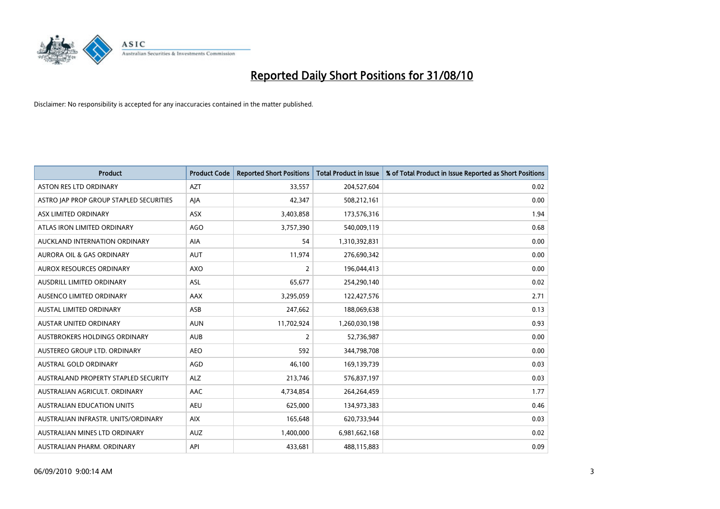

| <b>Product</b>                          | <b>Product Code</b> | <b>Reported Short Positions</b> | <b>Total Product in Issue</b> | % of Total Product in Issue Reported as Short Positions |
|-----------------------------------------|---------------------|---------------------------------|-------------------------------|---------------------------------------------------------|
| <b>ASTON RES LTD ORDINARY</b>           | <b>AZT</b>          | 33,557                          | 204,527,604                   | 0.02                                                    |
| ASTRO JAP PROP GROUP STAPLED SECURITIES | AJA                 | 42,347                          | 508,212,161                   | 0.00                                                    |
| ASX LIMITED ORDINARY                    | <b>ASX</b>          | 3,403,858                       | 173,576,316                   | 1.94                                                    |
| ATLAS IRON LIMITED ORDINARY             | <b>AGO</b>          | 3,757,390                       | 540,009,119                   | 0.68                                                    |
| AUCKLAND INTERNATION ORDINARY           | AIA                 | 54                              | 1,310,392,831                 | 0.00                                                    |
| <b>AURORA OIL &amp; GAS ORDINARY</b>    | <b>AUT</b>          | 11,974                          | 276,690,342                   | 0.00                                                    |
| AUROX RESOURCES ORDINARY                | <b>AXO</b>          | 2                               | 196,044,413                   | 0.00                                                    |
| AUSDRILL LIMITED ORDINARY               | <b>ASL</b>          | 65,677                          | 254,290,140                   | 0.02                                                    |
| AUSENCO LIMITED ORDINARY                | <b>AAX</b>          | 3,295,059                       | 122,427,576                   | 2.71                                                    |
| <b>AUSTAL LIMITED ORDINARY</b>          | ASB                 | 247,662                         | 188,069,638                   | 0.13                                                    |
| AUSTAR UNITED ORDINARY                  | <b>AUN</b>          | 11,702,924                      | 1,260,030,198                 | 0.93                                                    |
| AUSTBROKERS HOLDINGS ORDINARY           | <b>AUB</b>          | 2                               | 52,736,987                    | 0.00                                                    |
| AUSTEREO GROUP LTD. ORDINARY            | <b>AEO</b>          | 592                             | 344,798,708                   | 0.00                                                    |
| <b>AUSTRAL GOLD ORDINARY</b>            | AGD                 | 46,100                          | 169,139,739                   | 0.03                                                    |
| AUSTRALAND PROPERTY STAPLED SECURITY    | <b>ALZ</b>          | 213,746                         | 576,837,197                   | 0.03                                                    |
| AUSTRALIAN AGRICULT. ORDINARY           | AAC                 | 4,734,854                       | 264,264,459                   | 1.77                                                    |
| AUSTRALIAN EDUCATION UNITS              | <b>AEU</b>          | 625,000                         | 134,973,383                   | 0.46                                                    |
| AUSTRALIAN INFRASTR. UNITS/ORDINARY     | <b>AIX</b>          | 165,648                         | 620,733,944                   | 0.03                                                    |
| AUSTRALIAN MINES LTD ORDINARY           | <b>AUZ</b>          | 1,400,000                       | 6,981,662,168                 | 0.02                                                    |
| AUSTRALIAN PHARM. ORDINARY              | API                 | 433,681                         | 488,115,883                   | 0.09                                                    |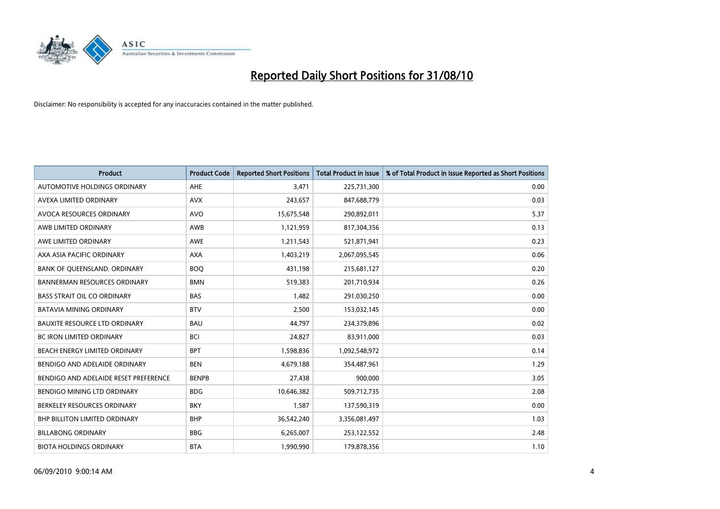

| <b>Product</b>                        | <b>Product Code</b> | <b>Reported Short Positions</b> | <b>Total Product in Issue</b> | % of Total Product in Issue Reported as Short Positions |
|---------------------------------------|---------------------|---------------------------------|-------------------------------|---------------------------------------------------------|
| <b>AUTOMOTIVE HOLDINGS ORDINARY</b>   | AHE                 | 3.471                           | 225,731,300                   | 0.00                                                    |
| AVEXA LIMITED ORDINARY                | <b>AVX</b>          | 243,657                         | 847,688,779                   | 0.03                                                    |
| AVOCA RESOURCES ORDINARY              | <b>AVO</b>          | 15,675,548                      | 290,892,011                   | 5.37                                                    |
| AWB LIMITED ORDINARY                  | <b>AWB</b>          | 1,121,959                       | 817,304,356                   | 0.13                                                    |
| AWE LIMITED ORDINARY                  | <b>AWE</b>          | 1,211,543                       | 521,871,941                   | 0.23                                                    |
| AXA ASIA PACIFIC ORDINARY             | <b>AXA</b>          | 1,403,219                       | 2,067,095,545                 | 0.06                                                    |
| BANK OF QUEENSLAND. ORDINARY          | <b>BOO</b>          | 431,198                         | 215,681,127                   | 0.20                                                    |
| <b>BANNERMAN RESOURCES ORDINARY</b>   | <b>BMN</b>          | 519,383                         | 201,710,934                   | 0.26                                                    |
| <b>BASS STRAIT OIL CO ORDINARY</b>    | <b>BAS</b>          | 1,482                           | 291,030,250                   | 0.00                                                    |
| <b>BATAVIA MINING ORDINARY</b>        | <b>BTV</b>          | 2,500                           | 153,032,145                   | 0.00                                                    |
| <b>BAUXITE RESOURCE LTD ORDINARY</b>  | <b>BAU</b>          | 44,797                          | 234,379,896                   | 0.02                                                    |
| <b>BC IRON LIMITED ORDINARY</b>       | <b>BCI</b>          | 24,827                          | 83,911,000                    | 0.03                                                    |
| BEACH ENERGY LIMITED ORDINARY         | <b>BPT</b>          | 1,598,836                       | 1,092,548,972                 | 0.14                                                    |
| BENDIGO AND ADELAIDE ORDINARY         | <b>BEN</b>          | 4,679,188                       | 354,487,961                   | 1.29                                                    |
| BENDIGO AND ADELAIDE RESET PREFERENCE | <b>BENPB</b>        | 27,438                          | 900.000                       | 3.05                                                    |
| BENDIGO MINING LTD ORDINARY           | <b>BDG</b>          | 10,646,382                      | 509,712,735                   | 2.08                                                    |
| BERKELEY RESOURCES ORDINARY           | <b>BKY</b>          | 1,587                           | 137,590,319                   | 0.00                                                    |
| <b>BHP BILLITON LIMITED ORDINARY</b>  | <b>BHP</b>          | 36,542,240                      | 3,356,081,497                 | 1.03                                                    |
| <b>BILLABONG ORDINARY</b>             | <b>BBG</b>          | 6,265,007                       | 253,122,552                   | 2.48                                                    |
| <b>BIOTA HOLDINGS ORDINARY</b>        | <b>BTA</b>          | 1,990,990                       | 179,878,356                   | 1.10                                                    |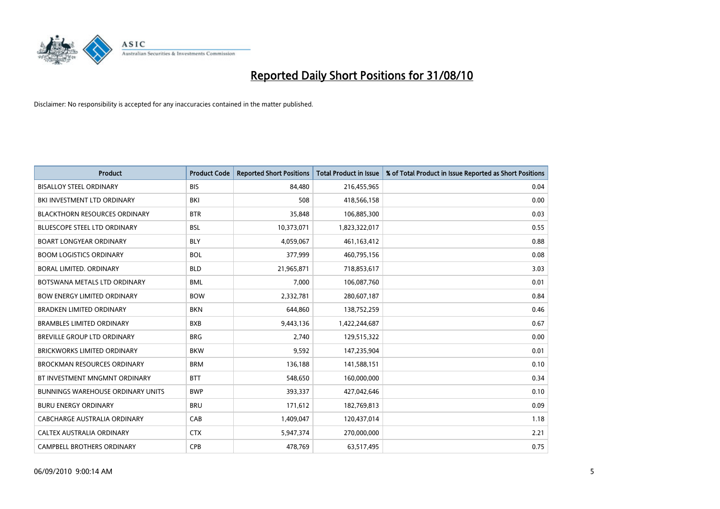

| <b>Product</b>                           | <b>Product Code</b> | <b>Reported Short Positions</b> | <b>Total Product in Issue</b> | % of Total Product in Issue Reported as Short Positions |
|------------------------------------------|---------------------|---------------------------------|-------------------------------|---------------------------------------------------------|
| <b>BISALLOY STEEL ORDINARY</b>           | <b>BIS</b>          | 84,480                          | 216,455,965                   | 0.04                                                    |
| BKI INVESTMENT LTD ORDINARY              | <b>BKI</b>          | 508                             | 418,566,158                   | 0.00                                                    |
| <b>BLACKTHORN RESOURCES ORDINARY</b>     | <b>BTR</b>          | 35,848                          | 106,885,300                   | 0.03                                                    |
| <b>BLUESCOPE STEEL LTD ORDINARY</b>      | <b>BSL</b>          | 10,373,071                      | 1,823,322,017                 | 0.55                                                    |
| <b>BOART LONGYEAR ORDINARY</b>           | <b>BLY</b>          | 4,059,067                       | 461,163,412                   | 0.88                                                    |
| <b>BOOM LOGISTICS ORDINARY</b>           | <b>BOL</b>          | 377,999                         | 460,795,156                   | 0.08                                                    |
| <b>BORAL LIMITED, ORDINARY</b>           | <b>BLD</b>          | 21,965,871                      | 718,853,617                   | 3.03                                                    |
| BOTSWANA METALS LTD ORDINARY             | <b>BML</b>          | 7,000                           | 106,087,760                   | 0.01                                                    |
| <b>BOW ENERGY LIMITED ORDINARY</b>       | <b>BOW</b>          | 2,332,781                       | 280,607,187                   | 0.84                                                    |
| <b>BRADKEN LIMITED ORDINARY</b>          | <b>BKN</b>          | 644,860                         | 138,752,259                   | 0.46                                                    |
| <b>BRAMBLES LIMITED ORDINARY</b>         | <b>BXB</b>          | 9,443,136                       | 1,422,244,687                 | 0.67                                                    |
| <b>BREVILLE GROUP LTD ORDINARY</b>       | <b>BRG</b>          | 2.740                           | 129,515,322                   | 0.00                                                    |
| <b>BRICKWORKS LIMITED ORDINARY</b>       | <b>BKW</b>          | 9,592                           | 147,235,904                   | 0.01                                                    |
| <b>BROCKMAN RESOURCES ORDINARY</b>       | <b>BRM</b>          | 136,188                         | 141,588,151                   | 0.10                                                    |
| BT INVESTMENT MNGMNT ORDINARY            | <b>BTT</b>          | 548,650                         | 160,000,000                   | 0.34                                                    |
| <b>BUNNINGS WAREHOUSE ORDINARY UNITS</b> | <b>BWP</b>          | 393,337                         | 427,042,646                   | 0.10                                                    |
| <b>BURU ENERGY ORDINARY</b>              | <b>BRU</b>          | 171,612                         | 182,769,813                   | 0.09                                                    |
| CABCHARGE AUSTRALIA ORDINARY             | CAB                 | 1,409,047                       | 120,437,014                   | 1.18                                                    |
| CALTEX AUSTRALIA ORDINARY                | <b>CTX</b>          | 5,947,374                       | 270,000,000                   | 2.21                                                    |
| <b>CAMPBELL BROTHERS ORDINARY</b>        | <b>CPB</b>          | 478.769                         | 63,517,495                    | 0.75                                                    |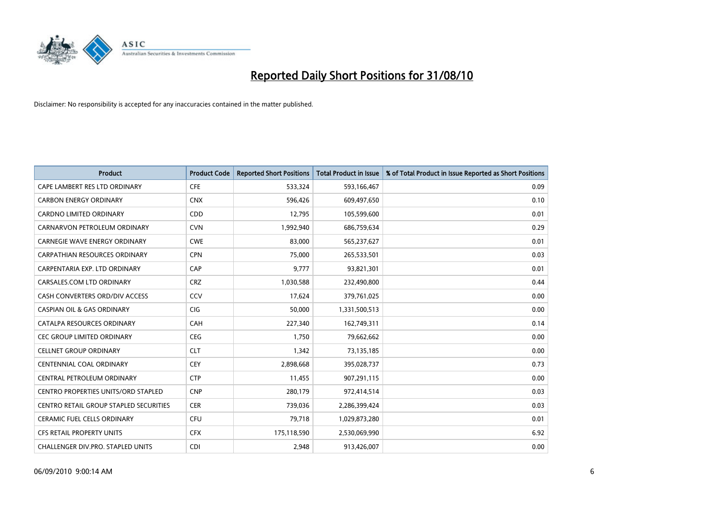

| <b>Product</b>                                | <b>Product Code</b> | <b>Reported Short Positions</b> | Total Product in Issue | % of Total Product in Issue Reported as Short Positions |
|-----------------------------------------------|---------------------|---------------------------------|------------------------|---------------------------------------------------------|
| CAPE LAMBERT RES LTD ORDINARY                 | <b>CFE</b>          | 533,324                         | 593,166,467            | 0.09                                                    |
| <b>CARBON ENERGY ORDINARY</b>                 | <b>CNX</b>          | 596,426                         | 609,497,650            | 0.10                                                    |
| <b>CARDNO LIMITED ORDINARY</b>                | <b>CDD</b>          | 12,795                          | 105,599,600            | 0.01                                                    |
| CARNARVON PETROLEUM ORDINARY                  | <b>CVN</b>          | 1,992,940                       | 686,759,634            | 0.29                                                    |
| <b>CARNEGIE WAVE ENERGY ORDINARY</b>          | <b>CWE</b>          | 83,000                          | 565,237,627            | 0.01                                                    |
| <b>CARPATHIAN RESOURCES ORDINARY</b>          | <b>CPN</b>          | 75,000                          | 265,533,501            | 0.03                                                    |
| CARPENTARIA EXP. LTD ORDINARY                 | CAP                 | 9.777                           | 93,821,301             | 0.01                                                    |
| CARSALES.COM LTD ORDINARY                     | <b>CRZ</b>          | 1,030,588                       | 232,490,800            | 0.44                                                    |
| CASH CONVERTERS ORD/DIV ACCESS                | CCV                 | 17,624                          | 379,761,025            | 0.00                                                    |
| <b>CASPIAN OIL &amp; GAS ORDINARY</b>         | <b>CIG</b>          | 50,000                          | 1,331,500,513          | 0.00                                                    |
| CATALPA RESOURCES ORDINARY                    | CAH                 | 227,340                         | 162,749,311            | 0.14                                                    |
| <b>CEC GROUP LIMITED ORDINARY</b>             | <b>CEG</b>          | 1,750                           | 79,662,662             | 0.00                                                    |
| <b>CELLNET GROUP ORDINARY</b>                 | <b>CLT</b>          | 1,342                           | 73,135,185             | 0.00                                                    |
| <b>CENTENNIAL COAL ORDINARY</b>               | <b>CEY</b>          | 2,898,668                       | 395,028,737            | 0.73                                                    |
| CENTRAL PETROLEUM ORDINARY                    | <b>CTP</b>          | 11,455                          | 907,291,115            | 0.00                                                    |
| CENTRO PROPERTIES UNITS/ORD STAPLED           | <b>CNP</b>          | 280,179                         | 972,414,514            | 0.03                                                    |
| <b>CENTRO RETAIL GROUP STAPLED SECURITIES</b> | <b>CER</b>          | 739,036                         | 2,286,399,424          | 0.03                                                    |
| CERAMIC FUEL CELLS ORDINARY                   | CFU                 | 79,718                          | 1,029,873,280          | 0.01                                                    |
| <b>CFS RETAIL PROPERTY UNITS</b>              | <b>CFX</b>          | 175,118,590                     | 2,530,069,990          | 6.92                                                    |
| <b>CHALLENGER DIV.PRO. STAPLED UNITS</b>      | <b>CDI</b>          | 2.948                           | 913,426,007            | 0.00                                                    |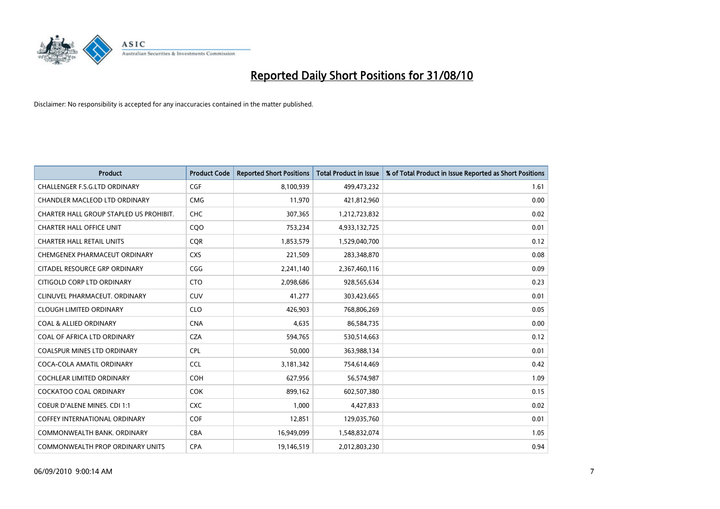

| <b>Product</b>                          | <b>Product Code</b> | <b>Reported Short Positions</b> | Total Product in Issue | % of Total Product in Issue Reported as Short Positions |
|-----------------------------------------|---------------------|---------------------------------|------------------------|---------------------------------------------------------|
| <b>CHALLENGER F.S.G.LTD ORDINARY</b>    | <b>CGF</b>          | 8,100,939                       | 499,473,232            | 1.61                                                    |
| CHANDLER MACLEOD LTD ORDINARY           | <b>CMG</b>          | 11,970                          | 421,812,960            | 0.00                                                    |
| CHARTER HALL GROUP STAPLED US PROHIBIT. | <b>CHC</b>          | 307,365                         | 1,212,723,832          | 0.02                                                    |
| <b>CHARTER HALL OFFICE UNIT</b>         | CQO                 | 753,234                         | 4,933,132,725          | 0.01                                                    |
| <b>CHARTER HALL RETAIL UNITS</b>        | <b>COR</b>          | 1,853,579                       | 1,529,040,700          | 0.12                                                    |
| CHEMGENEX PHARMACEUT ORDINARY           | <b>CXS</b>          | 221,509                         | 283,348,870            | 0.08                                                    |
| CITADEL RESOURCE GRP ORDINARY           | CGG                 | 2,241,140                       | 2,367,460,116          | 0.09                                                    |
| CITIGOLD CORP LTD ORDINARY              | <b>CTO</b>          | 2,098,686                       | 928,565,634            | 0.23                                                    |
| CLINUVEL PHARMACEUT. ORDINARY           | <b>CUV</b>          | 41,277                          | 303,423,665            | 0.01                                                    |
| <b>CLOUGH LIMITED ORDINARY</b>          | <b>CLO</b>          | 426,903                         | 768,806,269            | 0.05                                                    |
| COAL & ALLIED ORDINARY                  | <b>CNA</b>          | 4,635                           | 86,584,735             | 0.00                                                    |
| COAL OF AFRICA LTD ORDINARY             | <b>CZA</b>          | 594,765                         | 530,514,663            | 0.12                                                    |
| <b>COALSPUR MINES LTD ORDINARY</b>      | <b>CPL</b>          | 50,000                          | 363,988,134            | 0.01                                                    |
| COCA-COLA AMATIL ORDINARY               | CCL                 | 3,181,342                       | 754,614,469            | 0.42                                                    |
| <b>COCHLEAR LIMITED ORDINARY</b>        | <b>COH</b>          | 627,956                         | 56,574,987             | 1.09                                                    |
| <b>COCKATOO COAL ORDINARY</b>           | <b>COK</b>          | 899,162                         | 602,507,380            | 0.15                                                    |
| <b>COEUR D'ALENE MINES. CDI 1:1</b>     | <b>CXC</b>          | 1,000                           | 4,427,833              | 0.02                                                    |
| COFFEY INTERNATIONAL ORDINARY           | <b>COF</b>          | 12,851                          | 129,035,760            | 0.01                                                    |
| COMMONWEALTH BANK, ORDINARY             | <b>CBA</b>          | 16,949,099                      | 1,548,832,074          | 1.05                                                    |
| COMMONWEALTH PROP ORDINARY UNITS        | <b>CPA</b>          | 19,146,519                      | 2,012,803,230          | 0.94                                                    |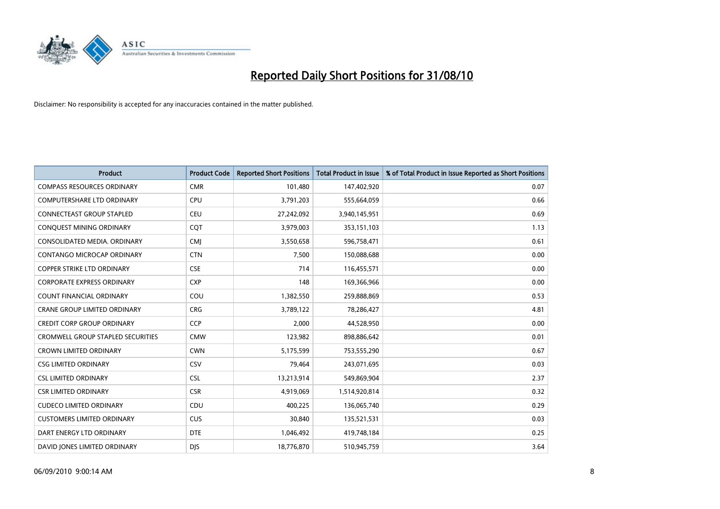

| <b>Product</b>                           | <b>Product Code</b> | <b>Reported Short Positions</b> | <b>Total Product in Issue</b> | % of Total Product in Issue Reported as Short Positions |
|------------------------------------------|---------------------|---------------------------------|-------------------------------|---------------------------------------------------------|
| <b>COMPASS RESOURCES ORDINARY</b>        | <b>CMR</b>          | 101,480                         | 147,402,920                   | 0.07                                                    |
| COMPUTERSHARE LTD ORDINARY               | CPU                 | 3,791,203                       | 555,664,059                   | 0.66                                                    |
| <b>CONNECTEAST GROUP STAPLED</b>         | CEU                 | 27,242,092                      | 3,940,145,951                 | 0.69                                                    |
| CONQUEST MINING ORDINARY                 | COT                 | 3,979,003                       | 353,151,103                   | 1.13                                                    |
| CONSOLIDATED MEDIA, ORDINARY             | <b>CMI</b>          | 3,550,658                       | 596,758,471                   | 0.61                                                    |
| CONTANGO MICROCAP ORDINARY               | <b>CTN</b>          | 7,500                           | 150,088,688                   | 0.00                                                    |
| <b>COPPER STRIKE LTD ORDINARY</b>        | <b>CSE</b>          | 714                             | 116,455,571                   | 0.00                                                    |
| <b>CORPORATE EXPRESS ORDINARY</b>        | <b>CXP</b>          | 148                             | 169,366,966                   | 0.00                                                    |
| COUNT FINANCIAL ORDINARY                 | COU                 | 1,382,550                       | 259,888,869                   | 0.53                                                    |
| <b>CRANE GROUP LIMITED ORDINARY</b>      | <b>CRG</b>          | 3,789,122                       | 78,286,427                    | 4.81                                                    |
| <b>CREDIT CORP GROUP ORDINARY</b>        | <b>CCP</b>          | 2,000                           | 44,528,950                    | 0.00                                                    |
| <b>CROMWELL GROUP STAPLED SECURITIES</b> | <b>CMW</b>          | 123,982                         | 898,886,642                   | 0.01                                                    |
| <b>CROWN LIMITED ORDINARY</b>            | <b>CWN</b>          | 5,175,599                       | 753,555,290                   | 0.67                                                    |
| <b>CSG LIMITED ORDINARY</b>              | CSV                 | 79,464                          | 243,071,695                   | 0.03                                                    |
| <b>CSL LIMITED ORDINARY</b>              | <b>CSL</b>          | 13,213,914                      | 549,869,904                   | 2.37                                                    |
| <b>CSR LIMITED ORDINARY</b>              | <b>CSR</b>          | 4,919,069                       | 1,514,920,814                 | 0.32                                                    |
| <b>CUDECO LIMITED ORDINARY</b>           | CDU                 | 400,225                         | 136,065,740                   | 0.29                                                    |
| <b>CUSTOMERS LIMITED ORDINARY</b>        | <b>CUS</b>          | 30,840                          | 135,521,531                   | 0.03                                                    |
| DART ENERGY LTD ORDINARY                 | <b>DTE</b>          | 1,046,492                       | 419,748,184                   | 0.25                                                    |
| DAVID JONES LIMITED ORDINARY             | <b>DIS</b>          | 18,776,870                      | 510,945,759                   | 3.64                                                    |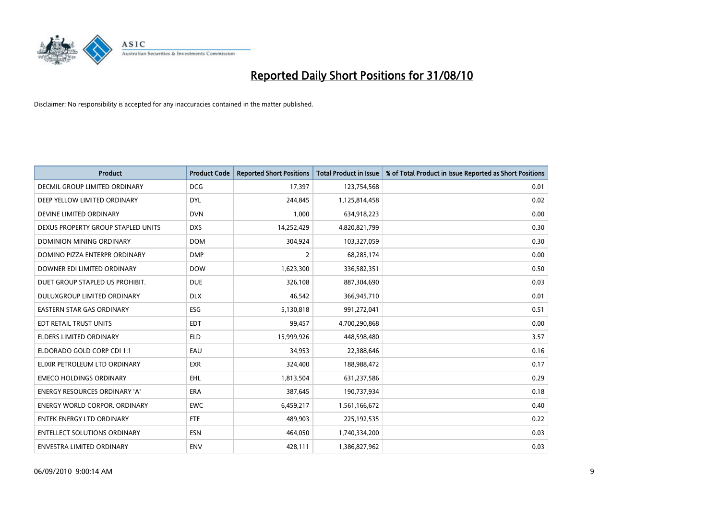

| <b>Product</b>                       | <b>Product Code</b> | <b>Reported Short Positions</b> | <b>Total Product in Issue</b> | % of Total Product in Issue Reported as Short Positions |
|--------------------------------------|---------------------|---------------------------------|-------------------------------|---------------------------------------------------------|
| DECMIL GROUP LIMITED ORDINARY        | <b>DCG</b>          | 17,397                          | 123,754,568                   | 0.01                                                    |
| DEEP YELLOW LIMITED ORDINARY         | <b>DYL</b>          | 244,845                         | 1,125,814,458                 | 0.02                                                    |
| DEVINE LIMITED ORDINARY              | <b>DVN</b>          | 1,000                           | 634,918,223                   | 0.00                                                    |
| DEXUS PROPERTY GROUP STAPLED UNITS   | <b>DXS</b>          | 14,252,429                      | 4,820,821,799                 | 0.30                                                    |
| <b>DOMINION MINING ORDINARY</b>      | <b>DOM</b>          | 304,924                         | 103,327,059                   | 0.30                                                    |
| DOMINO PIZZA ENTERPR ORDINARY        | <b>DMP</b>          | $\overline{2}$                  | 68,285,174                    | 0.00                                                    |
| DOWNER EDI LIMITED ORDINARY          | <b>DOW</b>          | 1,623,300                       | 336,582,351                   | 0.50                                                    |
| DUET GROUP STAPLED US PROHIBIT.      | <b>DUE</b>          | 326,108                         | 887,304,690                   | 0.03                                                    |
| DULUXGROUP LIMITED ORDINARY          | <b>DLX</b>          | 46,542                          | 366,945,710                   | 0.01                                                    |
| <b>EASTERN STAR GAS ORDINARY</b>     | <b>ESG</b>          | 5,130,818                       | 991,272,041                   | 0.51                                                    |
| EDT RETAIL TRUST UNITS               | <b>EDT</b>          | 99,457                          | 4,700,290,868                 | 0.00                                                    |
| <b>ELDERS LIMITED ORDINARY</b>       | <b>ELD</b>          | 15,999,926                      | 448,598,480                   | 3.57                                                    |
| ELDORADO GOLD CORP CDI 1:1           | EAU                 | 34,953                          | 22,388,646                    | 0.16                                                    |
| ELIXIR PETROLEUM LTD ORDINARY        | <b>EXR</b>          | 324,400                         | 188,988,472                   | 0.17                                                    |
| <b>EMECO HOLDINGS ORDINARY</b>       | <b>EHL</b>          | 1,813,504                       | 631,237,586                   | 0.29                                                    |
| <b>ENERGY RESOURCES ORDINARY 'A'</b> | ERA                 | 387,645                         | 190,737,934                   | 0.18                                                    |
| <b>ENERGY WORLD CORPOR, ORDINARY</b> | <b>EWC</b>          | 6,459,217                       | 1,561,166,672                 | 0.40                                                    |
| <b>ENTEK ENERGY LTD ORDINARY</b>     | <b>ETE</b>          | 489,903                         | 225,192,535                   | 0.22                                                    |
| <b>ENTELLECT SOLUTIONS ORDINARY</b>  | <b>ESN</b>          | 464,050                         | 1,740,334,200                 | 0.03                                                    |
| ENVESTRA LIMITED ORDINARY            | <b>ENV</b>          | 428,111                         | 1,386,827,962                 | 0.03                                                    |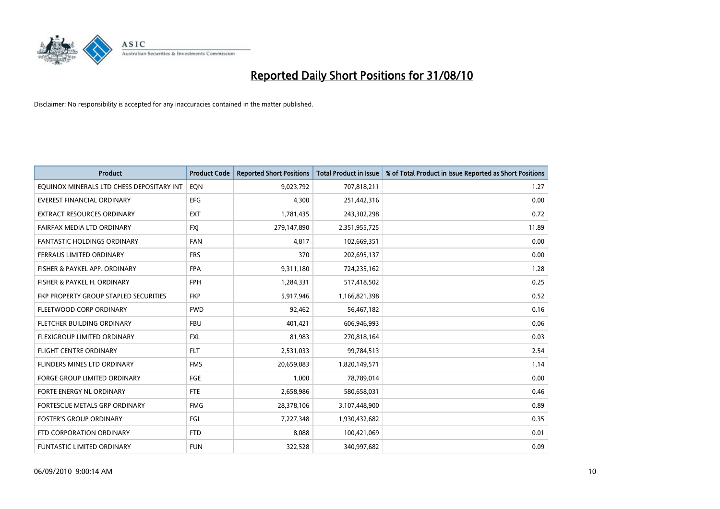

| <b>Product</b>                            | <b>Product Code</b> | <b>Reported Short Positions</b> | <b>Total Product in Issue</b> | % of Total Product in Issue Reported as Short Positions |
|-------------------------------------------|---------------------|---------------------------------|-------------------------------|---------------------------------------------------------|
| EQUINOX MINERALS LTD CHESS DEPOSITARY INT | EON                 | 9,023,792                       | 707,818,211                   | 1.27                                                    |
| EVEREST FINANCIAL ORDINARY                | <b>EFG</b>          | 4,300                           | 251,442,316                   | 0.00                                                    |
| <b>EXTRACT RESOURCES ORDINARY</b>         | <b>EXT</b>          | 1,781,435                       | 243,302,298                   | 0.72                                                    |
| FAIRFAX MEDIA LTD ORDINARY                | <b>FXI</b>          | 279,147,890                     | 2,351,955,725                 | 11.89                                                   |
| <b>FANTASTIC HOLDINGS ORDINARY</b>        | <b>FAN</b>          | 4,817                           | 102,669,351                   | 0.00                                                    |
| FERRAUS LIMITED ORDINARY                  | <b>FRS</b>          | 370                             | 202,695,137                   | 0.00                                                    |
| FISHER & PAYKEL APP. ORDINARY             | <b>FPA</b>          | 9,311,180                       | 724,235,162                   | 1.28                                                    |
| FISHER & PAYKEL H. ORDINARY               | <b>FPH</b>          | 1,284,331                       | 517,418,502                   | 0.25                                                    |
| FKP PROPERTY GROUP STAPLED SECURITIES     | <b>FKP</b>          | 5,917,946                       | 1,166,821,398                 | 0.52                                                    |
| FLEETWOOD CORP ORDINARY                   | <b>FWD</b>          | 92,462                          | 56,467,182                    | 0.16                                                    |
| <b>FLETCHER BUILDING ORDINARY</b>         | <b>FBU</b>          | 401,421                         | 606,946,993                   | 0.06                                                    |
| FLEXIGROUP LIMITED ORDINARY               | <b>FXL</b>          | 81,983                          | 270,818,164                   | 0.03                                                    |
| <b>FLIGHT CENTRE ORDINARY</b>             | <b>FLT</b>          | 2,531,033                       | 99,784,513                    | 2.54                                                    |
| FLINDERS MINES LTD ORDINARY               | <b>FMS</b>          | 20,659,883                      | 1,820,149,571                 | 1.14                                                    |
| <b>FORGE GROUP LIMITED ORDINARY</b>       | <b>FGE</b>          | 1,000                           | 78,789,014                    | 0.00                                                    |
| FORTE ENERGY NL ORDINARY                  | <b>FTE</b>          | 2,658,986                       | 580,658,031                   | 0.46                                                    |
| FORTESCUE METALS GRP ORDINARY             | <b>FMG</b>          | 28,378,106                      | 3,107,448,900                 | 0.89                                                    |
| <b>FOSTER'S GROUP ORDINARY</b>            | FGL                 | 7,227,348                       | 1,930,432,682                 | 0.35                                                    |
| FTD CORPORATION ORDINARY                  | <b>FTD</b>          | 8,088                           | 100,421,069                   | 0.01                                                    |
| FUNTASTIC LIMITED ORDINARY                | <b>FUN</b>          | 322,528                         | 340,997,682                   | 0.09                                                    |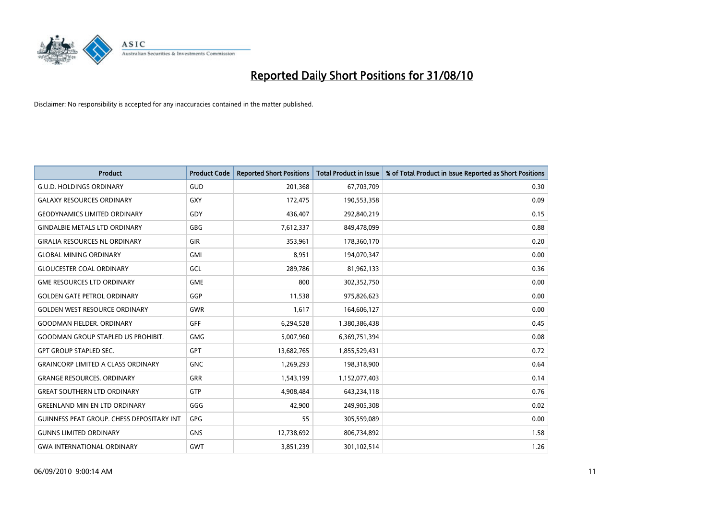

| <b>Product</b>                                   | <b>Product Code</b> | <b>Reported Short Positions</b> | <b>Total Product in Issue</b> | % of Total Product in Issue Reported as Short Positions |
|--------------------------------------------------|---------------------|---------------------------------|-------------------------------|---------------------------------------------------------|
| <b>G.U.D. HOLDINGS ORDINARY</b>                  | <b>GUD</b>          | 201,368                         | 67,703,709                    | 0.30                                                    |
| <b>GALAXY RESOURCES ORDINARY</b>                 | <b>GXY</b>          | 172,475                         | 190,553,358                   | 0.09                                                    |
| <b>GEODYNAMICS LIMITED ORDINARY</b>              | GDY                 | 436,407                         | 292,840,219                   | 0.15                                                    |
| <b>GINDALBIE METALS LTD ORDINARY</b>             | <b>GBG</b>          | 7,612,337                       | 849,478,099                   | 0.88                                                    |
| <b>GIRALIA RESOURCES NL ORDINARY</b>             | GIR                 | 353,961                         | 178,360,170                   | 0.20                                                    |
| <b>GLOBAL MINING ORDINARY</b>                    | <b>GMI</b>          | 8,951                           | 194,070,347                   | 0.00                                                    |
| <b>GLOUCESTER COAL ORDINARY</b>                  | GCL                 | 289,786                         | 81,962,133                    | 0.36                                                    |
| <b>GME RESOURCES LTD ORDINARY</b>                | <b>GME</b>          | 800                             | 302,352,750                   | 0.00                                                    |
| <b>GOLDEN GATE PETROL ORDINARY</b>               | GGP                 | 11,538                          | 975,826,623                   | 0.00                                                    |
| <b>GOLDEN WEST RESOURCE ORDINARY</b>             | <b>GWR</b>          | 1,617                           | 164,606,127                   | 0.00                                                    |
| <b>GOODMAN FIELDER. ORDINARY</b>                 | <b>GFF</b>          | 6,294,528                       | 1,380,386,438                 | 0.45                                                    |
| <b>GOODMAN GROUP STAPLED US PROHIBIT.</b>        | <b>GMG</b>          | 5,007,960                       | 6,369,751,394                 | 0.08                                                    |
| <b>GPT GROUP STAPLED SEC.</b>                    | <b>GPT</b>          | 13,682,765                      | 1,855,529,431                 | 0.72                                                    |
| <b>GRAINCORP LIMITED A CLASS ORDINARY</b>        | <b>GNC</b>          | 1,269,293                       | 198,318,900                   | 0.64                                                    |
| <b>GRANGE RESOURCES. ORDINARY</b>                | <b>GRR</b>          | 1,543,199                       | 1,152,077,403                 | 0.14                                                    |
| <b>GREAT SOUTHERN LTD ORDINARY</b>               | <b>GTP</b>          | 4,908,484                       | 643,234,118                   | 0.76                                                    |
| <b>GREENLAND MIN EN LTD ORDINARY</b>             | GGG                 | 42,900                          | 249,905,308                   | 0.02                                                    |
| <b>GUINNESS PEAT GROUP. CHESS DEPOSITARY INT</b> | <b>GPG</b>          | 55                              | 305,559,089                   | 0.00                                                    |
| <b>GUNNS LIMITED ORDINARY</b>                    | GNS                 | 12,738,692                      | 806,734,892                   | 1.58                                                    |
| <b>GWA INTERNATIONAL ORDINARY</b>                | <b>GWT</b>          | 3,851,239                       | 301,102,514                   | 1.26                                                    |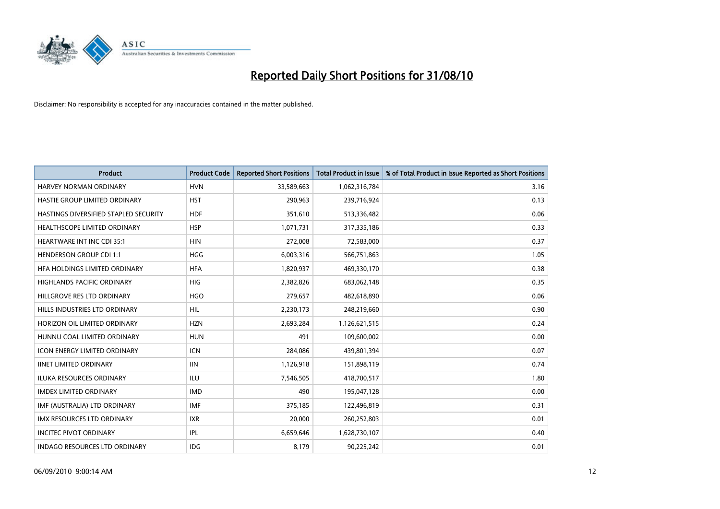

| <b>Product</b>                        | <b>Product Code</b> | <b>Reported Short Positions</b> | <b>Total Product in Issue</b> | % of Total Product in Issue Reported as Short Positions |
|---------------------------------------|---------------------|---------------------------------|-------------------------------|---------------------------------------------------------|
| <b>HARVEY NORMAN ORDINARY</b>         | <b>HVN</b>          | 33,589,663                      | 1,062,316,784                 | 3.16                                                    |
| HASTIE GROUP LIMITED ORDINARY         | <b>HST</b>          | 290,963                         | 239,716,924                   | 0.13                                                    |
| HASTINGS DIVERSIFIED STAPLED SECURITY | <b>HDF</b>          | 351,610                         | 513,336,482                   | 0.06                                                    |
| HEALTHSCOPE LIMITED ORDINARY          | <b>HSP</b>          | 1,071,731                       | 317,335,186                   | 0.33                                                    |
| <b>HEARTWARE INT INC CDI 35:1</b>     | <b>HIN</b>          | 272.008                         | 72,583,000                    | 0.37                                                    |
| <b>HENDERSON GROUP CDI 1:1</b>        | <b>HGG</b>          | 6,003,316                       | 566,751,863                   | 1.05                                                    |
| HFA HOLDINGS LIMITED ORDINARY         | <b>HFA</b>          | 1,820,937                       | 469,330,170                   | 0.38                                                    |
| <b>HIGHLANDS PACIFIC ORDINARY</b>     | <b>HIG</b>          | 2,382,826                       | 683,062,148                   | 0.35                                                    |
| HILLGROVE RES LTD ORDINARY            | <b>HGO</b>          | 279,657                         | 482,618,890                   | 0.06                                                    |
| HILLS INDUSTRIES LTD ORDINARY         | <b>HIL</b>          | 2,230,173                       | 248,219,660                   | 0.90                                                    |
| HORIZON OIL LIMITED ORDINARY          | <b>HZN</b>          | 2,693,284                       | 1,126,621,515                 | 0.24                                                    |
| HUNNU COAL LIMITED ORDINARY           | <b>HUN</b>          | 491                             | 109,600,002                   | 0.00                                                    |
| <b>ICON ENERGY LIMITED ORDINARY</b>   | <b>ICN</b>          | 284,086                         | 439,801,394                   | 0.07                                                    |
| <b>IINET LIMITED ORDINARY</b>         | <b>IIN</b>          | 1,126,918                       | 151,898,119                   | 0.74                                                    |
| ILUKA RESOURCES ORDINARY              | <b>ILU</b>          | 7,546,505                       | 418,700,517                   | 1.80                                                    |
| <b>IMDEX LIMITED ORDINARY</b>         | <b>IMD</b>          | 490                             | 195,047,128                   | 0.00                                                    |
| IMF (AUSTRALIA) LTD ORDINARY          | <b>IMF</b>          | 375,185                         | 122,496,819                   | 0.31                                                    |
| IMX RESOURCES LTD ORDINARY            | <b>IXR</b>          | 20,000                          | 260,252,803                   | 0.01                                                    |
| <b>INCITEC PIVOT ORDINARY</b>         | IPL                 | 6,659,646                       | 1,628,730,107                 | 0.40                                                    |
| <b>INDAGO RESOURCES LTD ORDINARY</b>  | <b>IDG</b>          | 8,179                           | 90.225.242                    | 0.01                                                    |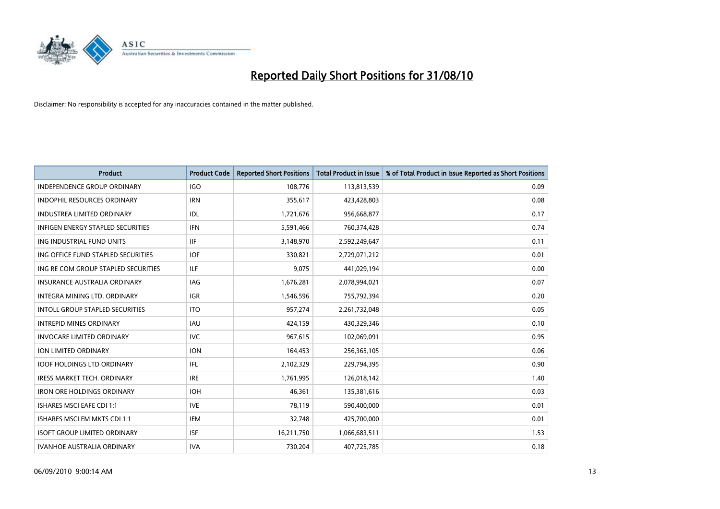

| <b>Product</b>                           | <b>Product Code</b> | <b>Reported Short Positions</b> | Total Product in Issue | % of Total Product in Issue Reported as Short Positions |
|------------------------------------------|---------------------|---------------------------------|------------------------|---------------------------------------------------------|
| <b>INDEPENDENCE GROUP ORDINARY</b>       | <b>IGO</b>          | 108,776                         | 113,813,539            | 0.09                                                    |
| <b>INDOPHIL RESOURCES ORDINARY</b>       | <b>IRN</b>          | 355,617                         | 423,428,803            | 0.08                                                    |
| <b>INDUSTREA LIMITED ORDINARY</b>        | IDL                 | 1,721,676                       | 956,668,877            | 0.17                                                    |
| <b>INFIGEN ENERGY STAPLED SECURITIES</b> | <b>IFN</b>          | 5,591,466                       | 760,374,428            | 0.74                                                    |
| ING INDUSTRIAL FUND UNITS                | <b>IIF</b>          | 3,148,970                       | 2,592,249,647          | 0.11                                                    |
| ING OFFICE FUND STAPLED SECURITIES       | <b>IOF</b>          | 330,821                         | 2,729,071,212          | 0.01                                                    |
| ING RE COM GROUP STAPLED SECURITIES      | <b>ILF</b>          | 9.075                           | 441,029,194            | 0.00                                                    |
| <b>INSURANCE AUSTRALIA ORDINARY</b>      | <b>IAG</b>          | 1,676,281                       | 2,078,994,021          | 0.07                                                    |
| INTEGRA MINING LTD. ORDINARY             | <b>IGR</b>          | 1,546,596                       | 755,792,394            | 0.20                                                    |
| <b>INTOLL GROUP STAPLED SECURITIES</b>   | <b>ITO</b>          | 957,274                         | 2,261,732,048          | 0.05                                                    |
| <b>INTREPID MINES ORDINARY</b>           | <b>IAU</b>          | 424,159                         | 430,329,346            | 0.10                                                    |
| <b>INVOCARE LIMITED ORDINARY</b>         | <b>IVC</b>          | 967,615                         | 102,069,091            | 0.95                                                    |
| <b>ION LIMITED ORDINARY</b>              | <b>ION</b>          | 164,453                         | 256,365,105            | 0.06                                                    |
| <b>IOOF HOLDINGS LTD ORDINARY</b>        | <b>IFL</b>          | 2,102,329                       | 229,794,395            | 0.90                                                    |
| IRESS MARKET TECH. ORDINARY              | <b>IRE</b>          | 1,761,995                       | 126,018,142            | 1.40                                                    |
| <b>IRON ORE HOLDINGS ORDINARY</b>        | <b>IOH</b>          | 46,361                          | 135,381,616            | 0.03                                                    |
| <b>ISHARES MSCI EAFE CDI 1:1</b>         | <b>IVE</b>          | 78,119                          | 590,400,000            | 0.01                                                    |
| ISHARES MSCI EM MKTS CDI 1:1             | <b>IEM</b>          | 32,748                          | 425,700,000            | 0.01                                                    |
| <b>ISOFT GROUP LIMITED ORDINARY</b>      | <b>ISF</b>          | 16,211,750                      | 1,066,683,511          | 1.53                                                    |
| <b>IVANHOE AUSTRALIA ORDINARY</b>        | <b>IVA</b>          | 730.204                         | 407,725,785            | 0.18                                                    |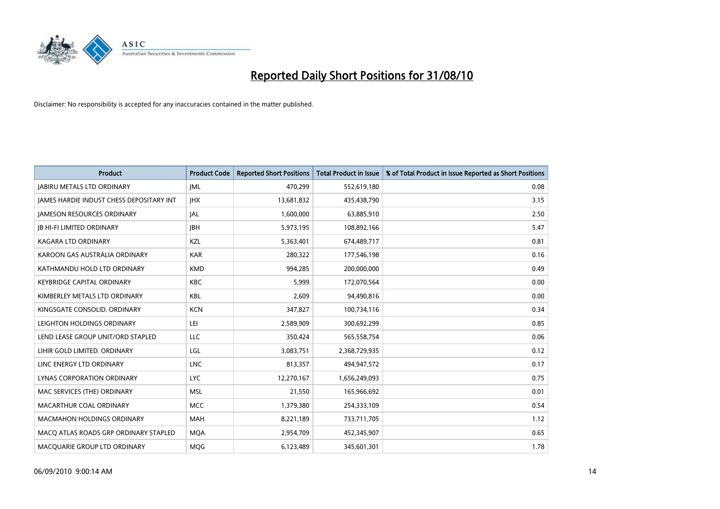

| <b>Product</b>                                  | <b>Product Code</b> | <b>Reported Short Positions</b> | Total Product in Issue | % of Total Product in Issue Reported as Short Positions |
|-------------------------------------------------|---------------------|---------------------------------|------------------------|---------------------------------------------------------|
| <b>JABIRU METALS LTD ORDINARY</b>               | <b>JML</b>          | 470,299                         | 552,619,180            | 0.08                                                    |
| <b>IAMES HARDIE INDUST CHESS DEPOSITARY INT</b> | <b>IHX</b>          | 13,681,832                      | 435,438,790            | 3.15                                                    |
| <b>JAMESON RESOURCES ORDINARY</b>               | JAL                 | 1,600,000                       | 63,885,910             | 2.50                                                    |
| <b>JB HI-FI LIMITED ORDINARY</b>                | <b>IBH</b>          | 5,973,195                       | 108,892,166            | 5.47                                                    |
| <b>KAGARA LTD ORDINARY</b>                      | KZL                 | 5,363,401                       | 674,489,717            | 0.81                                                    |
| KAROON GAS AUSTRALIA ORDINARY                   | <b>KAR</b>          | 280,322                         | 177,546,198            | 0.16                                                    |
| KATHMANDU HOLD LTD ORDINARY                     | <b>KMD</b>          | 994.285                         | 200,000,000            | 0.49                                                    |
| <b>KEYBRIDGE CAPITAL ORDINARY</b>               | <b>KBC</b>          | 5,999                           | 172,070,564            | 0.00                                                    |
| KIMBERLEY METALS LTD ORDINARY                   | <b>KBL</b>          | 2,609                           | 94,490,816             | 0.00                                                    |
| KINGSGATE CONSOLID, ORDINARY                    | <b>KCN</b>          | 347,827                         | 100,734,116            | 0.34                                                    |
| LEIGHTON HOLDINGS ORDINARY                      | LEI                 | 2,589,909                       | 300,692,299            | 0.85                                                    |
| LEND LEASE GROUP UNIT/ORD STAPLED               | LLC                 | 350,424                         | 565,558,754            | 0.06                                                    |
| LIHIR GOLD LIMITED. ORDINARY                    | LGL                 | 3,083,751                       | 2,368,729,935          | 0.12                                                    |
| LINC ENERGY LTD ORDINARY                        | <b>LNC</b>          | 813,357                         | 494,947,572            | 0.17                                                    |
| LYNAS CORPORATION ORDINARY                      | <b>LYC</b>          | 12,270,167                      | 1,656,249,093          | 0.75                                                    |
| MAC SERVICES (THE) ORDINARY                     | <b>MSL</b>          | 21,550                          | 165,966,692            | 0.01                                                    |
| MACARTHUR COAL ORDINARY                         | <b>MCC</b>          | 1,379,380                       | 254,333,109            | 0.54                                                    |
| MACMAHON HOLDINGS ORDINARY                      | <b>MAH</b>          | 8,221,189                       | 733,711,705            | 1.12                                                    |
| MACO ATLAS ROADS GRP ORDINARY STAPLED           | <b>MOA</b>          | 2,954,709                       | 452,345,907            | 0.65                                                    |
| MACQUARIE GROUP LTD ORDINARY                    | <b>MOG</b>          | 6,123,489                       | 345,601,301            | 1.78                                                    |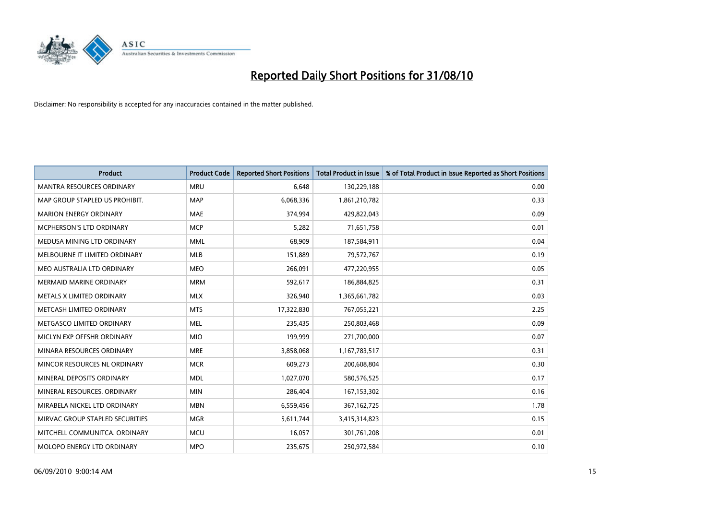

| <b>Product</b>                   | <b>Product Code</b> | <b>Reported Short Positions</b> | <b>Total Product in Issue</b> | % of Total Product in Issue Reported as Short Positions |
|----------------------------------|---------------------|---------------------------------|-------------------------------|---------------------------------------------------------|
| <b>MANTRA RESOURCES ORDINARY</b> | <b>MRU</b>          | 6,648                           | 130,229,188                   | 0.00                                                    |
| MAP GROUP STAPLED US PROHIBIT.   | <b>MAP</b>          | 6,068,336                       | 1,861,210,782                 | 0.33                                                    |
| <b>MARION ENERGY ORDINARY</b>    | <b>MAE</b>          | 374,994                         | 429,822,043                   | 0.09                                                    |
| MCPHERSON'S LTD ORDINARY         | <b>MCP</b>          | 5,282                           | 71,651,758                    | 0.01                                                    |
| MEDUSA MINING LTD ORDINARY       | <b>MML</b>          | 68,909                          | 187,584,911                   | 0.04                                                    |
| MELBOURNE IT LIMITED ORDINARY    | MLB                 | 151,889                         | 79,572,767                    | 0.19                                                    |
| MEO AUSTRALIA LTD ORDINARY       | <b>MEO</b>          | 266,091                         | 477,220,955                   | 0.05                                                    |
| MERMAID MARINE ORDINARY          | <b>MRM</b>          | 592,617                         | 186,884,825                   | 0.31                                                    |
| METALS X LIMITED ORDINARY        | <b>MLX</b>          | 326,940                         | 1,365,661,782                 | 0.03                                                    |
| METCASH LIMITED ORDINARY         | <b>MTS</b>          | 17,322,830                      | 767,055,221                   | 2.25                                                    |
| METGASCO LIMITED ORDINARY        | <b>MEL</b>          | 235,435                         | 250,803,468                   | 0.09                                                    |
| MICLYN EXP OFFSHR ORDINARY       | <b>MIO</b>          | 199,999                         | 271,700,000                   | 0.07                                                    |
| MINARA RESOURCES ORDINARY        | <b>MRE</b>          | 3,858,068                       | 1,167,783,517                 | 0.31                                                    |
| MINCOR RESOURCES NL ORDINARY     | <b>MCR</b>          | 609,273                         | 200,608,804                   | 0.30                                                    |
| MINERAL DEPOSITS ORDINARY        | <b>MDL</b>          | 1,027,070                       | 580,576,525                   | 0.17                                                    |
| MINERAL RESOURCES. ORDINARY      | <b>MIN</b>          | 286,404                         | 167,153,302                   | 0.16                                                    |
| MIRABELA NICKEL LTD ORDINARY     | <b>MBN</b>          | 6,559,456                       | 367, 162, 725                 | 1.78                                                    |
| MIRVAC GROUP STAPLED SECURITIES  | <b>MGR</b>          | 5,611,744                       | 3,415,314,823                 | 0.15                                                    |
| MITCHELL COMMUNITCA, ORDINARY    | <b>MCU</b>          | 16,057                          | 301,761,208                   | 0.01                                                    |
| MOLOPO ENERGY LTD ORDINARY       | <b>MPO</b>          | 235,675                         | 250,972,584                   | 0.10                                                    |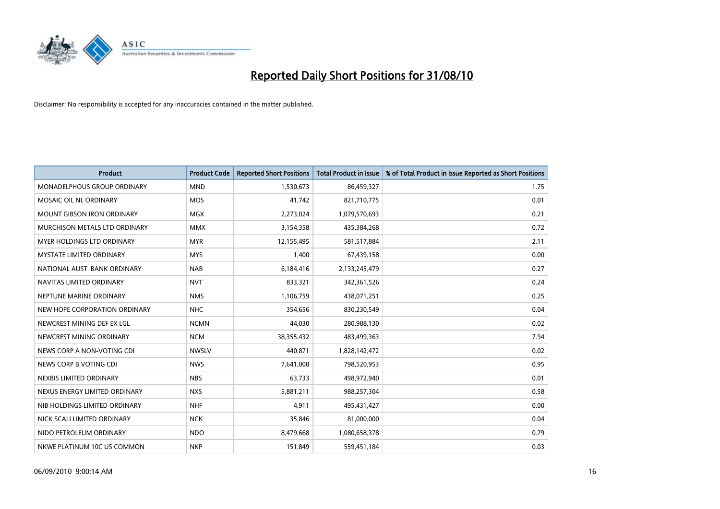

| <b>Product</b>                     | <b>Product Code</b> | <b>Reported Short Positions</b> | Total Product in Issue | % of Total Product in Issue Reported as Short Positions |
|------------------------------------|---------------------|---------------------------------|------------------------|---------------------------------------------------------|
| <b>MONADELPHOUS GROUP ORDINARY</b> | <b>MND</b>          | 1,530,673                       | 86,459,327             | 1.75                                                    |
| MOSAIC OIL NL ORDINARY             | <b>MOS</b>          | 41,742                          | 821,710,775            | 0.01                                                    |
| <b>MOUNT GIBSON IRON ORDINARY</b>  | <b>MGX</b>          | 2,273,024                       | 1,079,570,693          | 0.21                                                    |
| MURCHISON METALS LTD ORDINARY      | <b>MMX</b>          | 3,154,358                       | 435,384,268            | 0.72                                                    |
| <b>MYER HOLDINGS LTD ORDINARY</b>  | <b>MYR</b>          | 12,155,495                      | 581,517,884            | 2.11                                                    |
| <b>MYSTATE LIMITED ORDINARY</b>    | <b>MYS</b>          | 1,400                           | 67,439,158             | 0.00                                                    |
| NATIONAL AUST. BANK ORDINARY       | <b>NAB</b>          | 6,184,416                       | 2,133,245,479          | 0.27                                                    |
| NAVITAS LIMITED ORDINARY           | <b>NVT</b>          | 833,321                         | 342,361,526            | 0.24                                                    |
| NEPTUNE MARINE ORDINARY            | <b>NMS</b>          | 1,106,759                       | 438,071,251            | 0.25                                                    |
| NEW HOPE CORPORATION ORDINARY      | <b>NHC</b>          | 354,656                         | 830,230,549            | 0.04                                                    |
| NEWCREST MINING DEF EX LGL         | <b>NCMN</b>         | 44,030                          | 280,988,130            | 0.02                                                    |
| NEWCREST MINING ORDINARY           | <b>NCM</b>          | 38,355,432                      | 483,499,363            | 7.94                                                    |
| NEWS CORP A NON-VOTING CDI         | <b>NWSLV</b>        | 440,871                         | 1,828,142,472          | 0.02                                                    |
| NEWS CORP B VOTING CDI             | <b>NWS</b>          | 7,641,008                       | 798,520,953            | 0.95                                                    |
| NEXBIS LIMITED ORDINARY            | <b>NBS</b>          | 63,733                          | 498,972,940            | 0.01                                                    |
| NEXUS ENERGY LIMITED ORDINARY      | <b>NXS</b>          | 5,881,211                       | 988,257,304            | 0.58                                                    |
| NIB HOLDINGS LIMITED ORDINARY      | <b>NHF</b>          | 4,911                           | 495,431,427            | 0.00                                                    |
| NICK SCALI LIMITED ORDINARY        | <b>NCK</b>          | 35,846                          | 81,000,000             | 0.04                                                    |
| NIDO PETROLEUM ORDINARY            | <b>NDO</b>          | 8,479,668                       | 1,080,658,378          | 0.79                                                    |
| NKWE PLATINUM 10C US COMMON        | <b>NKP</b>          | 151,849                         | 559,451,184            | 0.03                                                    |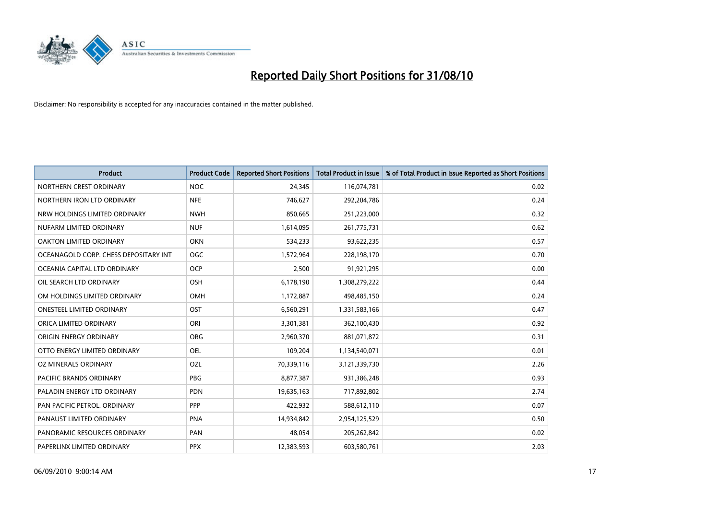

| <b>Product</b>                        | <b>Product Code</b> | <b>Reported Short Positions</b> | Total Product in Issue | % of Total Product in Issue Reported as Short Positions |
|---------------------------------------|---------------------|---------------------------------|------------------------|---------------------------------------------------------|
| NORTHERN CREST ORDINARY               | <b>NOC</b>          | 24,345                          | 116,074,781            | 0.02                                                    |
| NORTHERN IRON LTD ORDINARY            | <b>NFE</b>          | 746,627                         | 292,204,786            | 0.24                                                    |
| NRW HOLDINGS LIMITED ORDINARY         | <b>NWH</b>          | 850,665                         | 251,223,000            | 0.32                                                    |
| NUFARM LIMITED ORDINARY               | <b>NUF</b>          | 1,614,095                       | 261,775,731            | 0.62                                                    |
| OAKTON LIMITED ORDINARY               | <b>OKN</b>          | 534,233                         | 93,622,235             | 0.57                                                    |
| OCEANAGOLD CORP. CHESS DEPOSITARY INT | <b>OGC</b>          | 1,572,964                       | 228,198,170            | 0.70                                                    |
| OCEANIA CAPITAL LTD ORDINARY          | <b>OCP</b>          | 2,500                           | 91,921,295             | 0.00                                                    |
| OIL SEARCH LTD ORDINARY               | OSH                 | 6,178,190                       | 1,308,279,222          | 0.44                                                    |
| OM HOLDINGS LIMITED ORDINARY          | <b>OMH</b>          | 1,172,887                       | 498,485,150            | 0.24                                                    |
| <b>ONESTEEL LIMITED ORDINARY</b>      | OST                 | 6,560,291                       | 1,331,583,166          | 0.47                                                    |
| ORICA LIMITED ORDINARY                | ORI                 | 3,301,381                       | 362,100,430            | 0.92                                                    |
| ORIGIN ENERGY ORDINARY                | <b>ORG</b>          | 2,960,370                       | 881,071,872            | 0.31                                                    |
| OTTO ENERGY LIMITED ORDINARY          | OEL                 | 109,204                         | 1,134,540,071          | 0.01                                                    |
| OZ MINERALS ORDINARY                  | OZL                 | 70,339,116                      | 3,121,339,730          | 2.26                                                    |
| <b>PACIFIC BRANDS ORDINARY</b>        | <b>PBG</b>          | 8,877,387                       | 931,386,248            | 0.93                                                    |
| PALADIN ENERGY LTD ORDINARY           | <b>PDN</b>          | 19,635,163                      | 717,892,802            | 2.74                                                    |
| PAN PACIFIC PETROL. ORDINARY          | PPP                 | 422,932                         | 588,612,110            | 0.07                                                    |
| PANAUST LIMITED ORDINARY              | <b>PNA</b>          | 14,934,842                      | 2,954,125,529          | 0.50                                                    |
| PANORAMIC RESOURCES ORDINARY          | PAN                 | 48,054                          | 205,262,842            | 0.02                                                    |
| PAPERLINX LIMITED ORDINARY            | <b>PPX</b>          | 12,383,593                      | 603,580,761            | 2.03                                                    |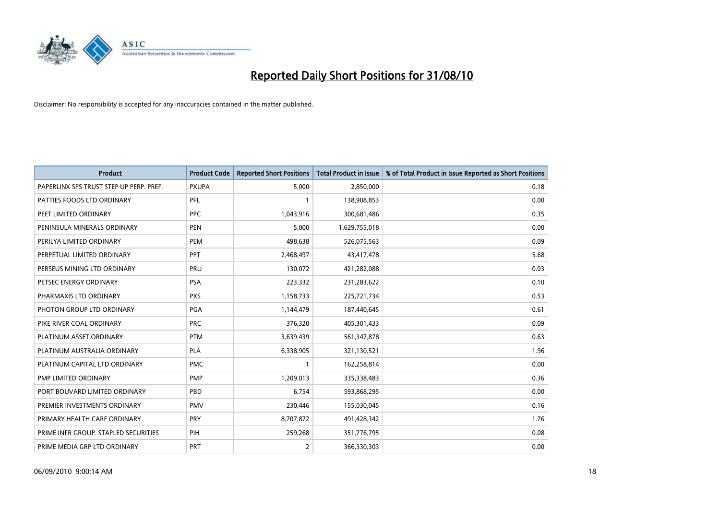

| <b>Product</b>                          | <b>Product Code</b> | <b>Reported Short Positions</b> | Total Product in Issue | % of Total Product in Issue Reported as Short Positions |
|-----------------------------------------|---------------------|---------------------------------|------------------------|---------------------------------------------------------|
| PAPERLINX SPS TRUST STEP UP PERP. PREF. | <b>PXUPA</b>        | 5,000                           | 2,850,000              | 0.18                                                    |
| PATTIES FOODS LTD ORDINARY              | <b>PFL</b>          |                                 | 138,908,853            | 0.00                                                    |
| PEET LIMITED ORDINARY                   | <b>PPC</b>          | 1,043,916                       | 300,681,486            | 0.35                                                    |
| PENINSULA MINERALS ORDINARY             | <b>PEN</b>          | 5,000                           | 1,629,755,018          | 0.00                                                    |
| PERILYA LIMITED ORDINARY                | PEM                 | 498,638                         | 526,075,563            | 0.09                                                    |
| PERPETUAL LIMITED ORDINARY              | PPT                 | 2,468,497                       | 43,417,478             | 5.68                                                    |
| PERSEUS MINING LTD ORDINARY             | PRU                 | 130,072                         | 421,282,088            | 0.03                                                    |
| PETSEC ENERGY ORDINARY                  | <b>PSA</b>          | 223,332                         | 231,283,622            | 0.10                                                    |
| PHARMAXIS LTD ORDINARY                  | <b>PXS</b>          | 1,158,733                       | 225,721,734            | 0.53                                                    |
| PHOTON GROUP LTD ORDINARY               | PGA                 | 1,144,479                       | 187,440,645            | 0.61                                                    |
| PIKE RIVER COAL ORDINARY                | <b>PRC</b>          | 376,320                         | 405,301,433            | 0.09                                                    |
| PLATINUM ASSET ORDINARY                 | <b>PTM</b>          | 3,639,439                       | 561,347,878            | 0.63                                                    |
| PLATINUM AUSTRALIA ORDINARY             | PLA                 | 6,338,905                       | 321,130,521            | 1.96                                                    |
| PLATINUM CAPITAL LTD ORDINARY           | <b>PMC</b>          |                                 | 162,258,814            | 0.00                                                    |
| PMP LIMITED ORDINARY                    | <b>PMP</b>          | 1,209,013                       | 335,338,483            | 0.36                                                    |
| PORT BOUVARD LIMITED ORDINARY           | PBD                 | 6,754                           | 593,868,295            | 0.00                                                    |
| PREMIER INVESTMENTS ORDINARY            | <b>PMV</b>          | 230,446                         | 155,030,045            | 0.16                                                    |
| PRIMARY HEALTH CARE ORDINARY            | PRY                 | 8,707,872                       | 491,428,342            | 1.76                                                    |
| PRIME INFR GROUP. STAPLED SECURITIES    | PIH                 | 259,268                         | 351,776,795            | 0.08                                                    |
| PRIME MEDIA GRP LTD ORDINARY            | PRT                 | $\overline{2}$                  | 366,330,303            | 0.00                                                    |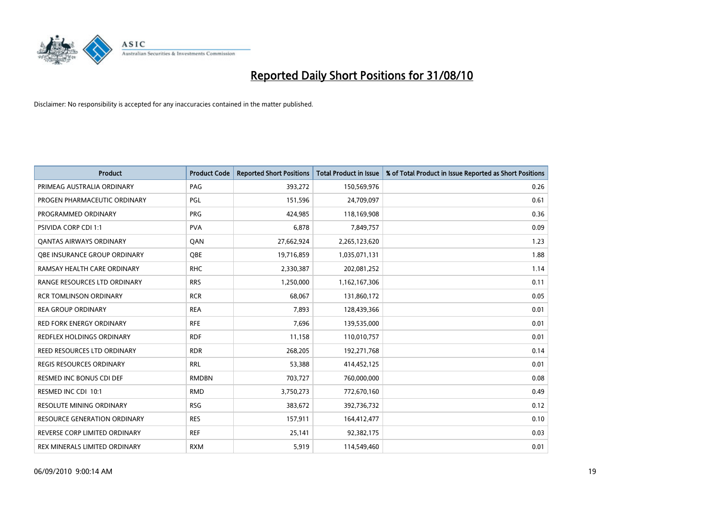

| <b>Product</b>                      | <b>Product Code</b> | <b>Reported Short Positions</b> | <b>Total Product in Issue</b> | % of Total Product in Issue Reported as Short Positions |
|-------------------------------------|---------------------|---------------------------------|-------------------------------|---------------------------------------------------------|
| PRIMEAG AUSTRALIA ORDINARY          | PAG                 | 393,272                         | 150,569,976                   | 0.26                                                    |
| PROGEN PHARMACEUTIC ORDINARY        | PGL                 | 151,596                         | 24,709,097                    | 0.61                                                    |
| PROGRAMMED ORDINARY                 | <b>PRG</b>          | 424.985                         | 118,169,908                   | 0.36                                                    |
| PSIVIDA CORP CDI 1:1                | <b>PVA</b>          | 6,878                           | 7,849,757                     | 0.09                                                    |
| <b>QANTAS AIRWAYS ORDINARY</b>      | QAN                 | 27,662,924                      | 2,265,123,620                 | 1.23                                                    |
| OBE INSURANCE GROUP ORDINARY        | <b>OBE</b>          | 19,716,859                      | 1,035,071,131                 | 1.88                                                    |
| RAMSAY HEALTH CARE ORDINARY         | <b>RHC</b>          | 2,330,387                       | 202,081,252                   | 1.14                                                    |
| RANGE RESOURCES LTD ORDINARY        | <b>RRS</b>          | 1,250,000                       | 1,162,167,306                 | 0.11                                                    |
| <b>RCR TOMLINSON ORDINARY</b>       | <b>RCR</b>          | 68,067                          | 131,860,172                   | 0.05                                                    |
| <b>REA GROUP ORDINARY</b>           | <b>REA</b>          | 7,893                           | 128,439,366                   | 0.01                                                    |
| <b>RED FORK ENERGY ORDINARY</b>     | <b>RFE</b>          | 7,696                           | 139,535,000                   | 0.01                                                    |
| REDFLEX HOLDINGS ORDINARY           | <b>RDF</b>          | 11,158                          | 110,010,757                   | 0.01                                                    |
| REED RESOURCES LTD ORDINARY         | <b>RDR</b>          | 268,205                         | 192,271,768                   | 0.14                                                    |
| <b>REGIS RESOURCES ORDINARY</b>     | <b>RRL</b>          | 53,388                          | 414,452,125                   | 0.01                                                    |
| <b>RESMED INC BONUS CDI DEF</b>     | <b>RMDBN</b>        | 703,727                         | 760,000,000                   | 0.08                                                    |
| RESMED INC CDI 10:1                 | <b>RMD</b>          | 3,750,273                       | 772,670,160                   | 0.49                                                    |
| RESOLUTE MINING ORDINARY            | <b>RSG</b>          | 383,672                         | 392,736,732                   | 0.12                                                    |
| <b>RESOURCE GENERATION ORDINARY</b> | <b>RES</b>          | 157,911                         | 164,412,477                   | 0.10                                                    |
| REVERSE CORP LIMITED ORDINARY       | <b>REF</b>          | 25,141                          | 92,382,175                    | 0.03                                                    |
| REX MINERALS LIMITED ORDINARY       | <b>RXM</b>          | 5,919                           | 114,549,460                   | 0.01                                                    |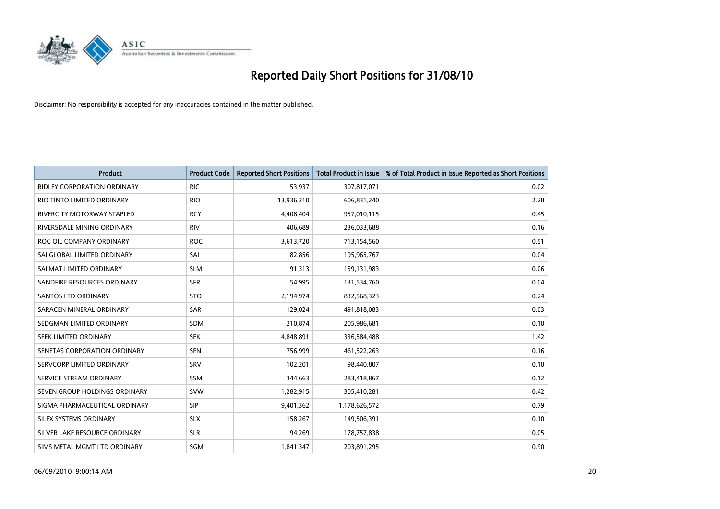

| <b>Product</b>                     | <b>Product Code</b> | <b>Reported Short Positions</b> | <b>Total Product in Issue</b> | % of Total Product in Issue Reported as Short Positions |
|------------------------------------|---------------------|---------------------------------|-------------------------------|---------------------------------------------------------|
| <b>RIDLEY CORPORATION ORDINARY</b> | <b>RIC</b>          | 53,937                          | 307,817,071                   | 0.02                                                    |
| RIO TINTO LIMITED ORDINARY         | <b>RIO</b>          | 13,936,210                      | 606,831,240                   | 2.28                                                    |
| RIVERCITY MOTORWAY STAPLED         | <b>RCY</b>          | 4,408,404                       | 957,010,115                   | 0.45                                                    |
| RIVERSDALE MINING ORDINARY         | <b>RIV</b>          | 406,689                         | 236,033,688                   | 0.16                                                    |
| ROC OIL COMPANY ORDINARY           | <b>ROC</b>          | 3,613,720                       | 713,154,560                   | 0.51                                                    |
| SAI GLOBAL LIMITED ORDINARY        | SAI                 | 82,856                          | 195,965,767                   | 0.04                                                    |
| SALMAT LIMITED ORDINARY            | <b>SLM</b>          | 91,313                          | 159,131,983                   | 0.06                                                    |
| SANDFIRE RESOURCES ORDINARY        | <b>SFR</b>          | 54,995                          | 131,534,760                   | 0.04                                                    |
| <b>SANTOS LTD ORDINARY</b>         | <b>STO</b>          | 2,194,974                       | 832,568,323                   | 0.24                                                    |
| SARACEN MINERAL ORDINARY           | <b>SAR</b>          | 129,024                         | 491,818,083                   | 0.03                                                    |
| SEDGMAN LIMITED ORDINARY           | <b>SDM</b>          | 210,874                         | 205,986,681                   | 0.10                                                    |
| SEEK LIMITED ORDINARY              | <b>SEK</b>          | 4,848,891                       | 336,584,488                   | 1.42                                                    |
| SENETAS CORPORATION ORDINARY       | <b>SEN</b>          | 756,999                         | 461,522,263                   | 0.16                                                    |
| SERVCORP LIMITED ORDINARY          | SRV                 | 102,201                         | 98,440,807                    | 0.10                                                    |
| SERVICE STREAM ORDINARY            | SSM                 | 344,663                         | 283,418,867                   | 0.12                                                    |
| SEVEN GROUP HOLDINGS ORDINARY      | <b>SVW</b>          | 1,282,915                       | 305,410,281                   | 0.42                                                    |
| SIGMA PHARMACEUTICAL ORDINARY      | SIP                 | 9,401,362                       | 1,178,626,572                 | 0.79                                                    |
| SILEX SYSTEMS ORDINARY             | <b>SLX</b>          | 158,267                         | 149,506,391                   | 0.10                                                    |
| SILVER LAKE RESOURCE ORDINARY      | <b>SLR</b>          | 94,269                          | 178,757,838                   | 0.05                                                    |
| SIMS METAL MGMT LTD ORDINARY       | <b>SGM</b>          | 1,841,347                       | 203,891,295                   | 0.90                                                    |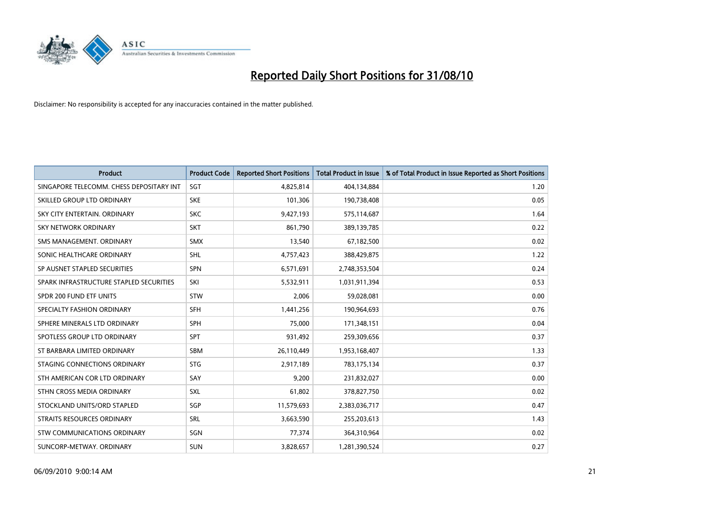

| <b>Product</b>                           | <b>Product Code</b> | <b>Reported Short Positions</b> | <b>Total Product in Issue</b> | % of Total Product in Issue Reported as Short Positions |
|------------------------------------------|---------------------|---------------------------------|-------------------------------|---------------------------------------------------------|
| SINGAPORE TELECOMM. CHESS DEPOSITARY INT | SGT                 | 4,825,814                       | 404,134,884                   | 1.20                                                    |
| SKILLED GROUP LTD ORDINARY               | <b>SKE</b>          | 101,306                         | 190,738,408                   | 0.05                                                    |
| SKY CITY ENTERTAIN, ORDINARY             | <b>SKC</b>          | 9,427,193                       | 575,114,687                   | 1.64                                                    |
| <b>SKY NETWORK ORDINARY</b>              | <b>SKT</b>          | 861,790                         | 389,139,785                   | 0.22                                                    |
| SMS MANAGEMENT, ORDINARY                 | <b>SMX</b>          | 13,540                          | 67,182,500                    | 0.02                                                    |
| SONIC HEALTHCARE ORDINARY                | <b>SHL</b>          | 4,757,423                       | 388,429,875                   | 1.22                                                    |
| SP AUSNET STAPLED SECURITIES             | SPN                 | 6,571,691                       | 2,748,353,504                 | 0.24                                                    |
| SPARK INFRASTRUCTURE STAPLED SECURITIES  | SKI                 | 5,532,911                       | 1,031,911,394                 | 0.53                                                    |
| SPDR 200 FUND ETF UNITS                  | <b>STW</b>          | 2,006                           | 59,028,081                    | 0.00                                                    |
| SPECIALTY FASHION ORDINARY               | <b>SFH</b>          | 1,441,256                       | 190,964,693                   | 0.76                                                    |
| SPHERE MINERALS LTD ORDINARY             | <b>SPH</b>          | 75,000                          | 171,348,151                   | 0.04                                                    |
| SPOTLESS GROUP LTD ORDINARY              | SPT                 | 931,492                         | 259,309,656                   | 0.37                                                    |
| ST BARBARA LIMITED ORDINARY              | SBM                 | 26,110,449                      | 1,953,168,407                 | 1.33                                                    |
| STAGING CONNECTIONS ORDINARY             | <b>STG</b>          | 2,917,189                       | 783,175,134                   | 0.37                                                    |
| STH AMERICAN COR LTD ORDINARY            | SAY                 | 9,200                           | 231,832,027                   | 0.00                                                    |
| STHN CROSS MEDIA ORDINARY                | SXL                 | 61,802                          | 378,827,750                   | 0.02                                                    |
| STOCKLAND UNITS/ORD STAPLED              | SGP                 | 11,579,693                      | 2,383,036,717                 | 0.47                                                    |
| STRAITS RESOURCES ORDINARY               | SRL                 | 3,663,590                       | 255,203,613                   | 1.43                                                    |
| STW COMMUNICATIONS ORDINARY              | SGN                 | 77,374                          | 364,310,964                   | 0.02                                                    |
| SUNCORP-METWAY, ORDINARY                 | <b>SUN</b>          | 3,828,657                       | 1,281,390,524                 | 0.27                                                    |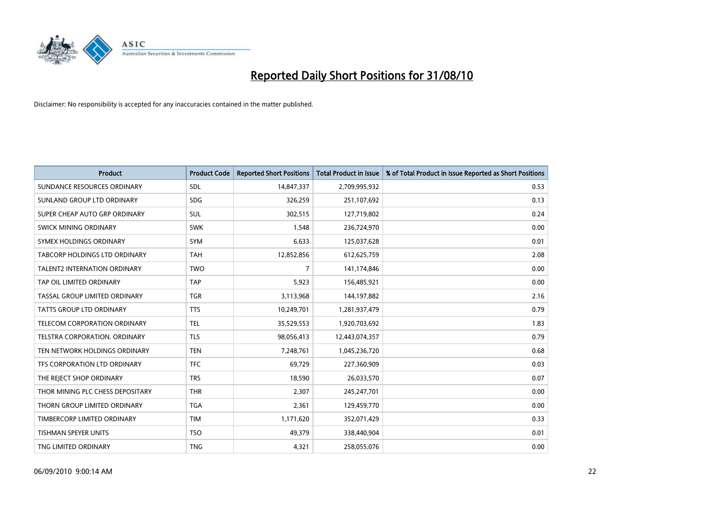

| <b>Product</b>                       | <b>Product Code</b> | <b>Reported Short Positions</b> | <b>Total Product in Issue</b> | % of Total Product in Issue Reported as Short Positions |
|--------------------------------------|---------------------|---------------------------------|-------------------------------|---------------------------------------------------------|
| SUNDANCE RESOURCES ORDINARY          | <b>SDL</b>          | 14,847,337                      | 2,709,995,932                 | 0.53                                                    |
| SUNLAND GROUP LTD ORDINARY           | <b>SDG</b>          | 326,259                         | 251,107,692                   | 0.13                                                    |
| SUPER CHEAP AUTO GRP ORDINARY        | <b>SUL</b>          | 302,515                         | 127,719,802                   | 0.24                                                    |
| SWICK MINING ORDINARY                | <b>SWK</b>          | 1,548                           | 236,724,970                   | 0.00                                                    |
| SYMEX HOLDINGS ORDINARY              | <b>SYM</b>          | 6,633                           | 125,037,628                   | 0.01                                                    |
| <b>TABCORP HOLDINGS LTD ORDINARY</b> | <b>TAH</b>          | 12,852,856                      | 612,625,759                   | 2.08                                                    |
| <b>TALENT2 INTERNATION ORDINARY</b>  | <b>TWO</b>          | 7                               | 141,174,846                   | 0.00                                                    |
| TAP OIL LIMITED ORDINARY             | <b>TAP</b>          | 5,923                           | 156,485,921                   | 0.00                                                    |
| TASSAL GROUP LIMITED ORDINARY        | <b>TGR</b>          | 3,113,968                       | 144,197,882                   | 2.16                                                    |
| <b>TATTS GROUP LTD ORDINARY</b>      | <b>TTS</b>          | 10,249,701                      | 1,281,937,479                 | 0.79                                                    |
| TELECOM CORPORATION ORDINARY         | <b>TEL</b>          | 35,529,553                      | 1,920,703,692                 | 1.83                                                    |
| <b>TELSTRA CORPORATION, ORDINARY</b> | <b>TLS</b>          | 98,056,413                      | 12,443,074,357                | 0.79                                                    |
| TEN NETWORK HOLDINGS ORDINARY        | <b>TEN</b>          | 7,248,761                       | 1,045,236,720                 | 0.68                                                    |
| TFS CORPORATION LTD ORDINARY         | <b>TFC</b>          | 69,729                          | 227,360,909                   | 0.03                                                    |
| THE REJECT SHOP ORDINARY             | <b>TRS</b>          | 18,590                          | 26,033,570                    | 0.07                                                    |
| THOR MINING PLC CHESS DEPOSITARY     | <b>THR</b>          | 2,307                           | 245,247,701                   | 0.00                                                    |
| THORN GROUP LIMITED ORDINARY         | <b>TGA</b>          | 2,361                           | 129,459,770                   | 0.00                                                    |
| TIMBERCORP LIMITED ORDINARY          | <b>TIM</b>          | 1,171,620                       | 352,071,429                   | 0.33                                                    |
| <b>TISHMAN SPEYER UNITS</b>          | <b>TSO</b>          | 49,379                          | 338,440,904                   | 0.01                                                    |
| TNG LIMITED ORDINARY                 | <b>TNG</b>          | 4,321                           | 258,055,076                   | 0.00                                                    |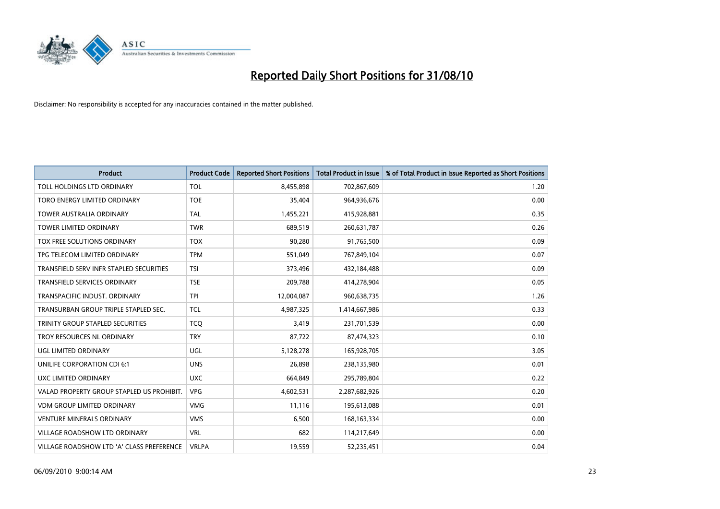

| <b>Product</b>                            | <b>Product Code</b> | <b>Reported Short Positions</b> | Total Product in Issue | % of Total Product in Issue Reported as Short Positions |
|-------------------------------------------|---------------------|---------------------------------|------------------------|---------------------------------------------------------|
| TOLL HOLDINGS LTD ORDINARY                | <b>TOL</b>          | 8,455,898                       | 702,867,609            | 1.20                                                    |
| TORO ENERGY LIMITED ORDINARY              | <b>TOE</b>          | 35,404                          | 964,936,676            | 0.00                                                    |
| <b>TOWER AUSTRALIA ORDINARY</b>           | <b>TAL</b>          | 1,455,221                       | 415,928,881            | 0.35                                                    |
| TOWER LIMITED ORDINARY                    | <b>TWR</b>          | 689,519                         | 260,631,787            | 0.26                                                    |
| TOX FREE SOLUTIONS ORDINARY               | <b>TOX</b>          | 90,280                          | 91,765,500             | 0.09                                                    |
| TPG TELECOM LIMITED ORDINARY              | <b>TPM</b>          | 551,049                         | 767,849,104            | 0.07                                                    |
| TRANSFIELD SERV INFR STAPLED SECURITIES   | <b>TSI</b>          | 373,496                         | 432,184,488            | 0.09                                                    |
| TRANSFIELD SERVICES ORDINARY              | <b>TSE</b>          | 209,788                         | 414,278,904            | 0.05                                                    |
| TRANSPACIFIC INDUST. ORDINARY             | <b>TPI</b>          | 12,004,087                      | 960,638,735            | 1.26                                                    |
| TRANSURBAN GROUP TRIPLE STAPLED SEC.      | <b>TCL</b>          | 4,987,325                       | 1,414,667,986          | 0.33                                                    |
| TRINITY GROUP STAPLED SECURITIES          | <b>TCQ</b>          | 3,419                           | 231,701,539            | 0.00                                                    |
| TROY RESOURCES NL ORDINARY                | <b>TRY</b>          | 87,722                          | 87,474,323             | 0.10                                                    |
| UGL LIMITED ORDINARY                      | UGL                 | 5,128,278                       | 165,928,705            | 3.05                                                    |
| <b>UNILIFE CORPORATION CDI 6:1</b>        | <b>UNS</b>          | 26,898                          | 238,135,980            | 0.01                                                    |
| UXC LIMITED ORDINARY                      | <b>UXC</b>          | 664,849                         | 295,789,804            | 0.22                                                    |
| VALAD PROPERTY GROUP STAPLED US PROHIBIT. | <b>VPG</b>          | 4,602,531                       | 2,287,682,926          | 0.20                                                    |
| <b>VDM GROUP LIMITED ORDINARY</b>         | <b>VMG</b>          | 11,116                          | 195,613,088            | 0.01                                                    |
| <b>VENTURE MINERALS ORDINARY</b>          | <b>VMS</b>          | 6,500                           | 168, 163, 334          | 0.00                                                    |
| <b>VILLAGE ROADSHOW LTD ORDINARY</b>      | <b>VRL</b>          | 682                             | 114,217,649            | 0.00                                                    |
| VILLAGE ROADSHOW LTD 'A' CLASS PREFERENCE | <b>VRLPA</b>        | 19,559                          | 52,235,451             | 0.04                                                    |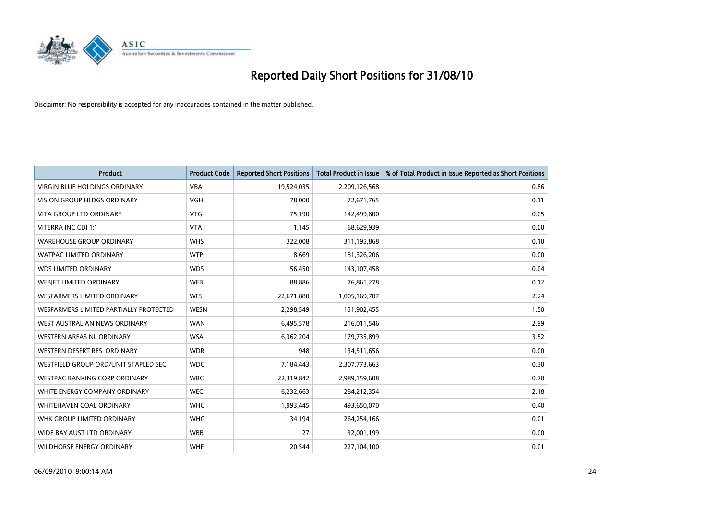

| <b>Product</b>                         | <b>Product Code</b> | <b>Reported Short Positions</b> | <b>Total Product in Issue</b> | % of Total Product in Issue Reported as Short Positions |
|----------------------------------------|---------------------|---------------------------------|-------------------------------|---------------------------------------------------------|
| <b>VIRGIN BLUE HOLDINGS ORDINARY</b>   | <b>VBA</b>          | 19,524,035                      | 2,209,126,568                 | 0.86                                                    |
| VISION GROUP HLDGS ORDINARY            | <b>VGH</b>          | 78,000                          | 72,671,765                    | 0.11                                                    |
| <b>VITA GROUP LTD ORDINARY</b>         | <b>VTG</b>          | 75,190                          | 142,499,800                   | 0.05                                                    |
| VITERRA INC CDI 1:1                    | <b>VTA</b>          | 1,145                           | 68,629,939                    | 0.00                                                    |
| <b>WAREHOUSE GROUP ORDINARY</b>        | <b>WHS</b>          | 322,008                         | 311,195,868                   | 0.10                                                    |
| <b>WATPAC LIMITED ORDINARY</b>         | <b>WTP</b>          | 8,669                           | 181,326,206                   | 0.00                                                    |
| <b>WDS LIMITED ORDINARY</b>            | <b>WDS</b>          | 56,450                          | 143,107,458                   | 0.04                                                    |
| WEBJET LIMITED ORDINARY                | <b>WEB</b>          | 88,886                          | 76,861,278                    | 0.12                                                    |
| <b>WESFARMERS LIMITED ORDINARY</b>     | <b>WES</b>          | 22,671,880                      | 1,005,169,707                 | 2.24                                                    |
| WESFARMERS LIMITED PARTIALLY PROTECTED | <b>WESN</b>         | 2,298,549                       | 151,902,455                   | 1.50                                                    |
| WEST AUSTRALIAN NEWS ORDINARY          | <b>WAN</b>          | 6,495,578                       | 216,011,546                   | 2.99                                                    |
| <b>WESTERN AREAS NL ORDINARY</b>       | <b>WSA</b>          | 6,362,204                       | 179,735,899                   | 3.52                                                    |
| WESTERN DESERT RES. ORDINARY           | <b>WDR</b>          | 948                             | 134,511,656                   | 0.00                                                    |
| WESTFIELD GROUP ORD/UNIT STAPLED SEC   | <b>WDC</b>          | 7,184,443                       | 2,307,773,663                 | 0.30                                                    |
| <b>WESTPAC BANKING CORP ORDINARY</b>   | <b>WBC</b>          | 22,319,842                      | 2,989,159,608                 | 0.70                                                    |
| WHITE ENERGY COMPANY ORDINARY          | <b>WEC</b>          | 6,232,663                       | 284,212,354                   | 2.18                                                    |
| WHITEHAVEN COAL ORDINARY               | <b>WHC</b>          | 1,993,445                       | 493,650,070                   | 0.40                                                    |
| WHK GROUP LIMITED ORDINARY             | <b>WHG</b>          | 34,194                          | 264,254,166                   | 0.01                                                    |
| WIDE BAY AUST LTD ORDINARY             | <b>WBB</b>          | 27                              | 32,001,199                    | 0.00                                                    |
| <b>WILDHORSE ENERGY ORDINARY</b>       | <b>WHE</b>          | 20,544                          | 227,104,100                   | 0.01                                                    |